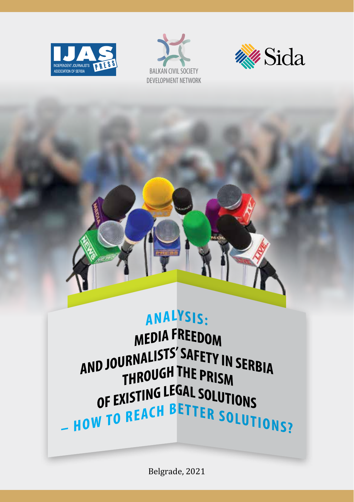





# ANALYSIS:

**MEDIA FREEDOM** AND JOURNALISTS' SAFETY IN SERBIA THROUGH THE PRISM OF EXISTING LEGAL SOLUTIONS OF EXISTING BETTER SOLUTIONS

Belgrade, 2021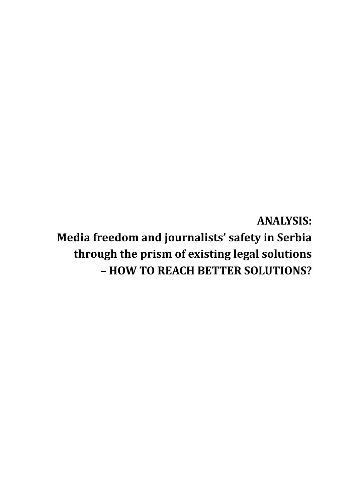**ANALYSIS: Media freedom and journalists' safety in Serbia through the prism of existing legal solutions – HOW TO REACH BETTER SOLUTIONS?**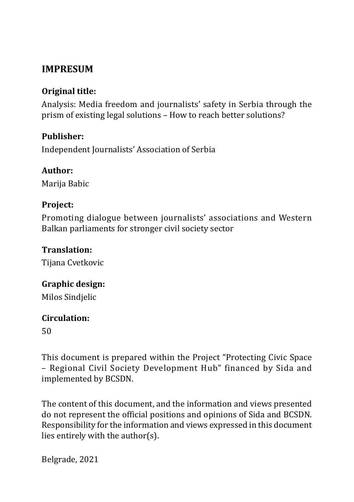# **IMPRESUM**

# **Original title:**

Analysis: Media freedom and journalists' safety in Serbia through the prism of existing legal solutions – How to reach better solutions?

#### **Publisher:**

Independent Journalists' Association of Serbia

# **Author:**

Marija Babic

# **Project:**

Promoting dialogue between journalists' associations and Western Balkan parliaments for stronger civil society sector

### **Translation:**

Tijana Cvetkovic

# **Graphic design:**

Milos Sindjelic

#### **Circulation:**

50

This document is prepared within the Project "Protecting Civic Space – Regional Civil Society Development Hub" financed by Sida and implemented by BCSDN.

The content of this document, and the information and views presented do not represent the official positions and opinions of Sida and BCSDN. Responsibility for the information and views expressed in this document lies entirely with the author(s).

Belgrade, 2021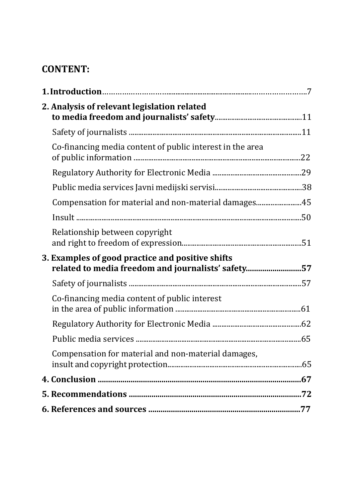# **CONTENT:**

|  | 2. Analysis of relevant legislation related                                                            |  |
|--|--------------------------------------------------------------------------------------------------------|--|
|  |                                                                                                        |  |
|  | Co-financing media content of public interest in the area                                              |  |
|  |                                                                                                        |  |
|  |                                                                                                        |  |
|  | Compensation for material and non-material damages45                                                   |  |
|  |                                                                                                        |  |
|  | Relationship between copyright                                                                         |  |
|  | 3. Examples of good practice and positive shifts<br>related to media freedom and journalists' safety57 |  |
|  |                                                                                                        |  |
|  | Co-financing media content of public interest                                                          |  |
|  |                                                                                                        |  |
|  |                                                                                                        |  |
|  | Compensation for material and non-material damages,                                                    |  |
|  |                                                                                                        |  |
|  |                                                                                                        |  |
|  |                                                                                                        |  |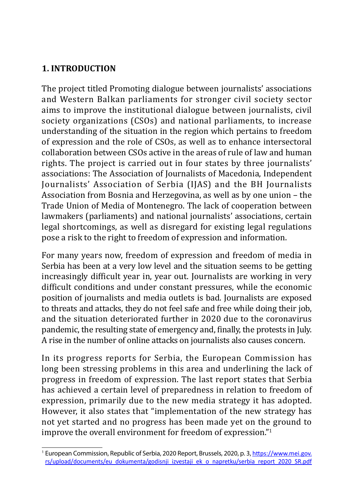# **1. INTRODUCTION**

The project titled Promoting dialogue between journalists' associations and Western Balkan parliaments for stronger civil society sector aims to improve the institutional dialogue between journalists, civil society organizations (CSOs) and national parliaments, to increase understanding of the situation in the region which pertains to freedom of expression and the role of CSOs, as well as to enhance intersectoral collaboration between CSOs active in the areas of rule of law and human rights. The project is carried out in four states by three journalists' associations: The Association of Journalists of Macedonia, Independent Journalists' Association of Serbia (IJAS) and the BH Journalists Association from Bosnia and Herzegovina, as well as by one union – the Trade Union of Media of Montenegro. The lack of cooperation between lawmakers (parliaments) and national journalists' associations, certain legal shortcomings, as well as disregard for existing legal regulations pose a risk to the right to freedom of expression and information.

For many years now, freedom of expression and freedom of media in Serbia has been at a very low level and the situation seems to be getting increasingly difficult year in, year out. Journalists are working in very difficult conditions and under constant pressures, while the economic position of journalists and media outlets is bad. Journalists are exposed to threats and attacks, they do not feel safe and free while doing their job, and the situation deteriorated further in 2020 due to the coronavirus pandemic, the resulting state of emergency and, finally, the protests in July. A rise in the number of online attacks on journalists also causes concern.

In its progress reports for Serbia, the European Commission has long been stressing problems in this area and underlining the lack of progress in freedom of expression. The last report states that Serbia has achieved a certain level of preparedness in relation to freedom of expression, primarily due to the new media strategy it has adopted. However, it also states that "implementation of the new strategy has not yet started and no progress has been made yet on the ground to improve the overall environment for freedom of expression."<sup>1</sup>

<sup>&</sup>lt;sup>1</sup> European Commission, Republic of Serbia, 2020 Report, Brussels, 2020, p. 3, https://www.mei.gov. rs/upload/documents/eu\_dokumenta/godisnji\_izvestaji\_ek\_o\_napretku/serbia\_report\_2020\_SR.pdf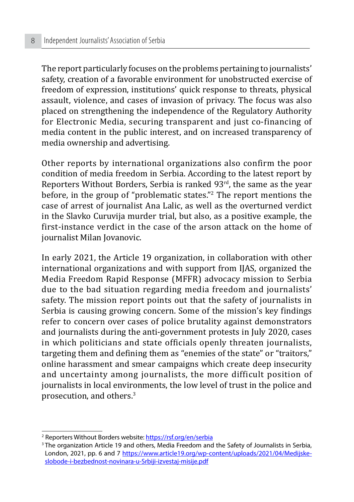The report particularly focuses on the problems pertaining to journalists' safety, creation of a favorable environment for unobstructed exercise of freedom of expression, institutions' quick response to threats, physical assault, violence, and cases of invasion of privacy. The focus was also placed on strengthening the independence of the Regulatory Authority for Electronic Media, securing transparent and just co-financing of media content in the public interest, and on increased transparency of media ownership and advertising.

Other reports by international organizations also confirm the poor condition of media freedom in Serbia. According to the latest report by Reporters Without Borders, Serbia is ranked 93<sup>rd</sup>, the same as the year before, in the group of "problematic states."<sup>2</sup> The report mentions the case of arrest of journalist Ana Lalic, as well as the overturned verdict in the Slavko Curuvija murder trial, but also, as a positive example, the first-instance verdict in the case of the arson attack on the home of journalist Milan Jovanovic.

In early 2021, the Article 19 organization, in collaboration with other international organizations and with support from IJAS, organized the Media Freedom Rapid Response (MFFR) advocacy mission to Serbia due to the bad situation regarding media freedom and journalists' safety. The mission report points out that the safety of journalists in Serbia is causing growing concern. Some of the mission's key findings refer to concern over cases of police brutality against demonstrators and journalists during the anti-government protests in July 2020, cases in which politicians and state officials openly threaten journalists, targeting them and defining them as "enemies of the state" or "traitors," online harassment and smear campaigns which create deep insecurity and uncertainty among journalists, the more difficult position of journalists in local environments, the low level of trust in the police and prosecution, and others.3

<sup>&</sup>lt;sup>2</sup> Reporters Without Borders website: <u>https://rsf.org/en/serbia</u>

<sup>&</sup>lt;sup>3</sup> The organization Article 19 and others, Media Freedom and the Safety of Journalists in Serbia, London, 2021, pp. 6 and 7 https://www.article19.org/wp-content/uploads/2021/04/Medijskeslobode-i-bezbednost-novinara-u-Srbiji-izvestaj-misije.pdf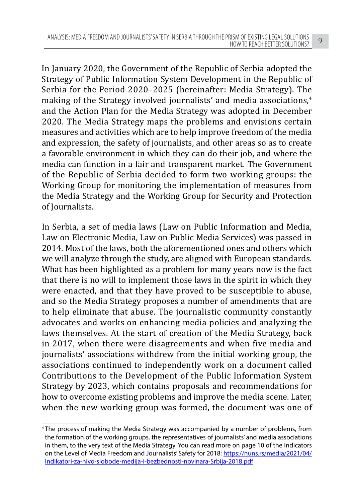In January 2020, the Government of the Republic of Serbia adopted the Strategy of Public Information System Development in the Republic of Serbia for the Period 2020–2025 (hereinafter: Media Strategy). The making of the Strategy involved journalists' and media associations.<sup>4</sup> and the Action Plan for the Media Strategy was adopted in December 2020. The Media Strategy maps the problems and envisions certain measures and activities which are to help improve freedom of the media and expression, the safety of journalists, and other areas so as to create a favorable environment in which they can do their job, and where the media can function in a fair and transparent market. The Government of the Republic of Serbia decided to form two working groups: the Working Group for monitoring the implementation of measures from the Media Strategy and the Working Group for Security and Protection of Journalists.

In Serbia, a set of media laws (Law on Public Information and Media, Law on Electronic Media, Law on Public Media Services) was passed in 2014. Most of the laws, both the aforementioned ones and others which we will analyze through the study, are aligned with European standards. What has been highlighted as a problem for many years now is the fact that there is no will to implement those laws in the spirit in which they were enacted, and that they have proved to be susceptible to abuse, and so the Media Strategy proposes a number of amendments that are to help eliminate that abuse. The journalistic community constantly advocates and works on enhancing media policies and analyzing the laws themselves. At the start of creation of the Media Strategy, back in 2017, when there were disagreements and when five media and journalists' associations withdrew from the initial working group, the associations continued to independently work on a document called Contributions to the Development of the Public Information System Strategy by 2023, which contains proposals and recommendations for how to overcome existing problems and improve the media scene. Later, when the new working group was formed, the document was one of

<sup>4</sup> The process of making the Media Strategy was accompanied by a number of problems, from the formation of the working groups, the representatives of journalists' and media associations in them, to the very text of the Media Strategy. You can read more on page 10 of the Indicators on the Level of Media Freedom and Journalists' Safety for 2018: https://nuns.rs/media/2021/04/ Indikatori-za-nivo-slobode-medija-i-bezbednosti-novinara-Srbija-2018.pdf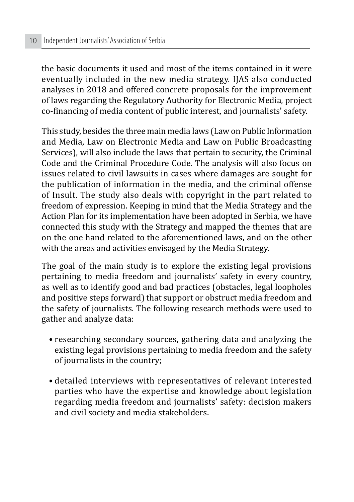the basic documents it used and most of the items contained in it were eventually included in the new media strategy. IJAS also conducted analyses in 2018 and offered concrete proposals for the improvement of laws regarding the Regulatory Authority for Electronic Media, project co-financing of media content of public interest, and journalists' safety.

This study, besides the three main media laws (Law on Public Information and Media, Law on Electronic Media and Law on Public Broadcasting Services), will also include the laws that pertain to security, the Criminal Code and the Criminal Procedure Code. The analysis will also focus on issues related to civil lawsuits in cases where damages are sought for the publication of information in the media, and the criminal offense of Insult. The study also deals with copyright in the part related to freedom of expression. Keeping in mind that the Media Strategy and the Action Plan for its implementation have been adopted in Serbia, we have connected this study with the Strategy and mapped the themes that are on the one hand related to the aforementioned laws, and on the other with the areas and activities envisaged by the Media Strategy.

The goal of the main study is to explore the existing legal provisions pertaining to media freedom and journalists' safety in every country, as well as to identify good and bad practices (obstacles, legal loopholes and positive steps forward) that support or obstruct media freedom and the safety of journalists. The following research methods were used to gather and analyze data:

- researching secondary sources, gathering data and analyzing the existing legal provisions pertaining to media freedom and the safety of journalists in the country;
- detailed interviews with representatives of relevant interested parties who have the expertise and knowledge about legislation regarding media freedom and journalists' safety: decision makers and civil society and media stakeholders.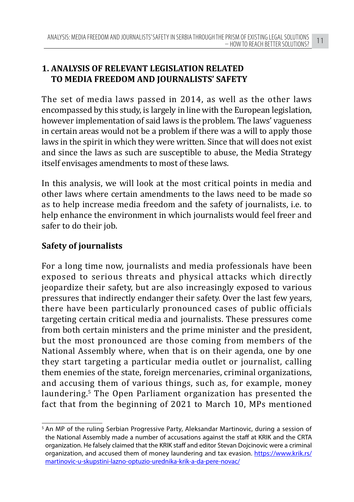# **1. ANALYSIS OF RELEVANT LEGISLATION RELATED TO MEDIA FREEDOM AND JOURNALISTS' SAFETY**

The set of media laws passed in 2014, as well as the other laws encompassed by this study, is largely in line with the European legislation, however implementation of said laws is the problem. The laws' vagueness in certain areas would not be a problem if there was a will to apply those laws in the spirit in which they were written. Since that will does not exist and since the laws as such are susceptible to abuse, the Media Strategy itself envisages amendments to most of these laws.

In this analysis, we will look at the most critical points in media and other laws where certain amendments to the laws need to be made so as to help increase media freedom and the safety of journalists, i.e. to help enhance the environment in which journalists would feel freer and safer to do their job.

# **Safety of journalists**

For a long time now, journalists and media professionals have been exposed to serious threats and physical attacks which directly jeopardize their safety, but are also increasingly exposed to various pressures that indirectly endanger their safety. Over the last few years, there have been particularly pronounced cases of public officials targeting certain critical media and journalists. These pressures come from both certain ministers and the prime minister and the president, but the most pronounced are those coming from members of the National Assembly where, when that is on their agenda, one by one they start targeting a particular media outlet or journalist, calling them enemies of the state, foreign mercenaries, criminal organizations, and accusing them of various things, such as, for example, money laundering.<sup>5</sup> The Open Parliament organization has presented the fact that from the beginning of 2021 to March 10, MPs mentioned

<sup>5</sup> An MP of the ruling Serbian Progressive Party, Aleksandar Martinovic, during a session of the National Assembly made a number of accusations against the staff at KRIK and the CRTA organization. He falsely claimed that the KRIK staff and editor Stevan Dojcinovic were a criminal organization, and accused them of money laundering and tax evasion. https://www.krik.rs/ martinovic-u-skupstini-lazno-optuzio-urednika-krik-a-da-pere-novac/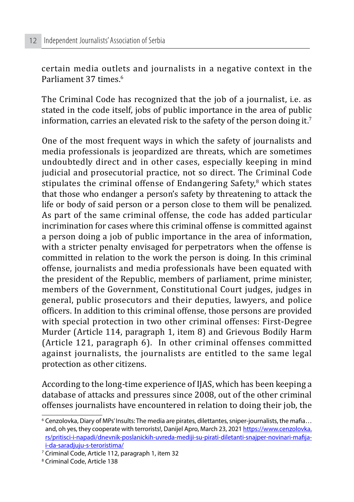certain media outlets and journalists in a negative context in the Parliament 37 times.<sup>6</sup>

The Criminal Code has recognized that the job of a journalist, i.e. as stated in the code itself, jobs of public importance in the area of public information, carries an elevated risk to the safety of the person doing it.<sup>7</sup>

One of the most frequent ways in which the safety of journalists and media professionals is jeopardized are threats, which are sometimes undoubtedly direct and in other cases, especially keeping in mind judicial and prosecutorial practice, not so direct. The Criminal Code stipulates the criminal offense of Endangering Safety.<sup>8</sup> which states that those who endanger a person's safety by threatening to attack the life or body of said person or a person close to them will be penalized. As part of the same criminal offense, the code has added particular incrimination for cases where this criminal offense is committed against a person doing a job of public importance in the area of information, with a stricter penalty envisaged for perpetrators when the offense is committed in relation to the work the person is doing. In this criminal offense, journalists and media professionals have been equated with the president of the Republic, members of parliament, prime minister, members of the Government, Constitutional Court judges, judges in general, public prosecutors and their deputies, lawyers, and police officers. In addition to this criminal offense, those persons are provided with special protection in two other criminal offenses: First-Degree Murder (Article 114, paragraph 1, item 8) and Grievous Bodily Harm (Article 121, paragraph 6). In other criminal offenses committed against journalists, the journalists are entitled to the same legal protection as other citizens.

According to the long-time experience of IJAS, which has been keeping a database of attacks and pressures since 2008, out of the other criminal offenses journalists have encountered in relation to doing their job, the

<sup>6</sup> Cenzolovka, Diary of MPs' Insults: The media are pirates, dilettantes, sniper-journalists, the mafia… and, oh yes, they cooperate with terrorists!, Danijel Apro, March 23, 2021 https://www.cenzolovka. rs/pritisci-i-napadi/dnevnik-poslanickih-uvreda-mediji-su-pirati-diletanti-snajper-novinari-mafijai-da-saradjuju-s-teroristima/

<sup>7</sup> Criminal Code, Article 112, paragraph 1, item 32

<sup>8</sup> Criminal Code, Article 138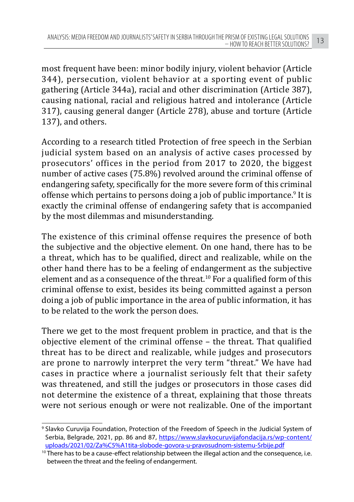most frequent have been: minor bodily injury, violent behavior (Article 344), persecution, violent behavior at a sporting event of public gathering (Article 344a), racial and other discrimination (Article 387), causing national, racial and religious hatred and intolerance (Article 317), causing general danger (Article 278), abuse and torture (Article 137), and others.

According to a research titled Protection of free speech in the Serbian judicial system based on an analysis of active cases processed by prosecutors' offices in the period from 2017 to 2020, the biggest number of active cases (75.8%) revolved around the criminal offense of endangering safety, specifically for the more severe form of this criminal offense which pertains to persons doing a job of public importance.<sup>9</sup> It is exactly the criminal offense of endangering safety that is accompanied by the most dilemmas and misunderstanding.

The existence of this criminal offense requires the presence of both the subjective and the objective element. On one hand, there has to be a threat, which has to be qualified, direct and realizable, while on the other hand there has to be a feeling of endangerment as the subjective element and as a consequence of the threat.10 For a qualified form of this criminal offense to exist, besides its being committed against a person doing a job of public importance in the area of public information, it has to be related to the work the person does.

There we get to the most frequent problem in practice, and that is the objective element of the criminal offense – the threat. That qualified threat has to be direct and realizable, while judges and prosecutors are prone to narrowly interpret the very term "threat." We have had cases in practice where a journalist seriously felt that their safety was threatened, and still the judges or prosecutors in those cases did not determine the existence of a threat, explaining that those threats were not serious enough or were not realizable. One of the important

<sup>9</sup> Slavko Curuvija Foundation, Protection of the Freedom of Speech in the Judicial System of Serbia, Belgrade, 2021, pp. 86 and 87, https://www.slavkocuruvijafondacija.rs/wp-content/ uploads/2021/02/Za%C5%A1tita-slobode-govora-u-pravosudnom-sistemu-Srbije.pdf

<sup>&</sup>lt;sup>10</sup> There has to be a cause-effect relationship between the illegal action and the consequence, i.e. between the threat and the feeling of endangerment.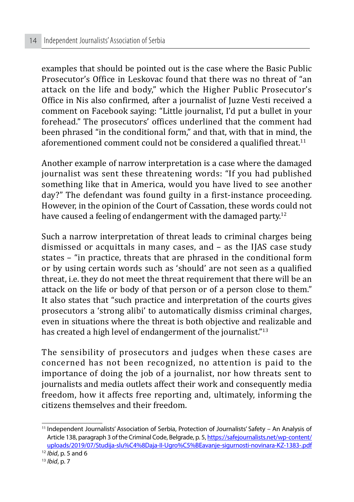examples that should be pointed out is the case where the Basic Public Prosecutor's Office in Leskovac found that there was no threat of "an attack on the life and body," which the Higher Public Prosecutor's Office in Nis also confirmed, after a journalist of Juzne Vesti received a comment on Facebook saying: "Little journalist, I'd put a bullet in your forehead." The prosecutors' offices underlined that the comment had been phrased "in the conditional form," and that, with that in mind, the aforementioned comment could not be considered a qualified threat.<sup>11</sup>

Another example of narrow interpretation is a case where the damaged journalist was sent these threatening words: "If you had published something like that in America, would you have lived to see another day?" The defendant was found guilty in a first-instance proceeding. However, in the opinion of the Court of Cassation, these words could not have caused a feeling of endangerment with the damaged party.<sup>12</sup>

Such a narrow interpretation of threat leads to criminal charges being dismissed or acquittals in many cases, and – as the IJAS case study states – "in practice, threats that are phrased in the conditional form or by using certain words such as 'should' are not seen as a qualified threat, i.e. they do not meet the threat requirement that there will be an attack on the life or body of that person or of a person close to them." It also states that "such practice and interpretation of the courts gives prosecutors a 'strong alibi' to automatically dismiss criminal charges, even in situations where the threat is both objective and realizable and has created a high level of endangerment of the journalist."<sup>13</sup>

The sensibility of prosecutors and judges when these cases are concerned has not been recognized, no attention is paid to the importance of doing the job of a journalist, nor how threats sent to journalists and media outlets affect their work and consequently media freedom, how it affects free reporting and, ultimately, informing the citizens themselves and their freedom.

<sup>11</sup> Independent Journalists' Association of Serbia, Protection of Journalists' Safety – An Analysis of Article 138, paragraph 3 of the Criminal Code, Belgrade, p. 5, https://safejournalists.net/wp-content/ uploads/2019/07/Studija-slu%C4%8Daja-II-Ugro%C5%BEavanje-sigurnosti-novinara-KZ-1383-.pdf

<sup>12</sup> *Ibid*, p. 5 and 6

<sup>13</sup> *Ibid*, p. 7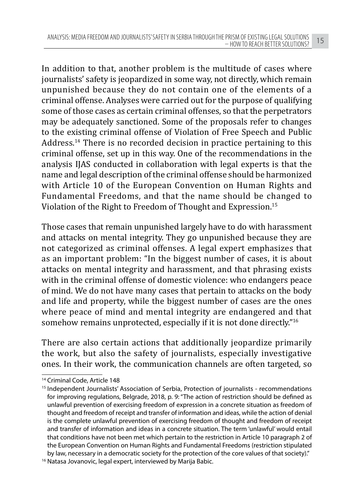In addition to that, another problem is the multitude of cases where journalists' safety is jeopardized in some way, not directly, which remain unpunished because they do not contain one of the elements of a criminal offense. Analyses were carried out for the purpose of qualifying some of those cases as certain criminal offenses, so that the perpetrators may be adequately sanctioned. Some of the proposals refer to changes to the existing criminal offense of Violation of Free Speech and Public Address.14 There is no recorded decision in practice pertaining to this criminal offense, set up in this way. One of the recommendations in the analysis IJAS conducted in collaboration with legal experts is that the name and legal description of the criminal offense should be harmonized with Article 10 of the European Convention on Human Rights and Fundamental Freedoms, and that the name should be changed to Violation of the Right to Freedom of Thought and Expression.15

Those cases that remain unpunished largely have to do with harassment and attacks on mental integrity. They go unpunished because they are not categorized as criminal offenses. A legal expert emphasizes that as an important problem: "In the biggest number of cases, it is about attacks on mental integrity and harassment, and that phrasing exists with in the criminal offense of domestic violence: who endangers peace of mind. We do not have many cases that pertain to attacks on the body and life and property, while the biggest number of cases are the ones where peace of mind and mental integrity are endangered and that somehow remains unprotected, especially if it is not done directly."<sup>16</sup>

There are also certain actions that additionally jeopardize primarily the work, but also the safety of journalists, especially investigative ones. In their work, the communication channels are often targeted, so

<sup>14</sup> Criminal Code, Article 148

<sup>&</sup>lt;sup>15</sup> Independent Journalists' Association of Serbia, Protection of journalists - recommendations for improving regulations, Belgrade, 2018, p. 9: "The action of restriction should be defined as unlawful prevention of exercising freedom of expression in a concrete situation as freedom of thought and freedom of receipt and transfer of information and ideas, while the action of denial is the complete unlawful prevention of exercising freedom of thought and freedom of receipt and transfer of information and ideas in a concrete situation. The term 'unlawful' would entail that conditions have not been met which pertain to the restriction in Article 10 paragraph 2 of the European Convention on Human Rights and Fundamental Freedoms (restriction stipulated by law, necessary in a democratic society for the protection of the core values of that society)."

<sup>&</sup>lt;sup>16</sup> Natasa Jovanovic, legal expert, interviewed by Marija Babic.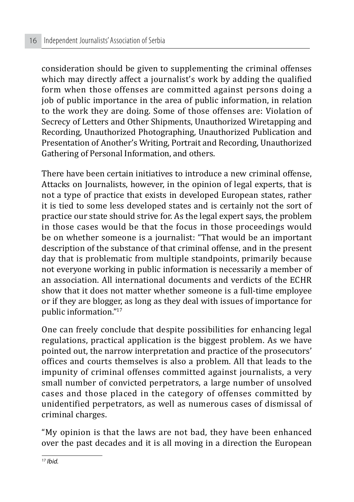consideration should be given to supplementing the criminal offenses which may directly affect a journalist's work by adding the qualified form when those offenses are committed against persons doing a job of public importance in the area of public information, in relation to the work they are doing. Some of those offenses are: Violation of Secrecy of Letters and Other Shipments, Unauthorized Wiretapping and Recording, Unauthorized Photographing, Unauthorized Publication and Presentation of Another's Writing, Portrait and Recording, Unauthorized Gathering of Personal Information, and others.

There have been certain initiatives to introduce a new criminal offense, Attacks on Journalists, however, in the opinion of legal experts, that is not a type of practice that exists in developed European states, rather it is tied to some less developed states and is certainly not the sort of practice our state should strive for. As the legal expert says, the problem in those cases would be that the focus in those proceedings would be on whether someone is a journalist: "That would be an important description of the substance of that criminal offense, and in the present day that is problematic from multiple standpoints, primarily because not everyone working in public information is necessarily a member of an association. All international documents and verdicts of the ECHR show that it does not matter whether someone is a full-time employee or if they are blogger, as long as they deal with issues of importance for public information."<sup>17</sup>

One can freely conclude that despite possibilities for enhancing legal regulations, practical application is the biggest problem. As we have pointed out, the narrow interpretation and practice of the prosecutors' offices and courts themselves is also a problem. All that leads to the impunity of criminal offenses committed against journalists, a very small number of convicted perpetrators, a large number of unsolved cases and those placed in the category of offenses committed by unidentified perpetrators, as well as numerous cases of dismissal of criminal charges.

"My opinion is that the laws are not bad, they have been enhanced over the past decades and it is all moving in a direction the European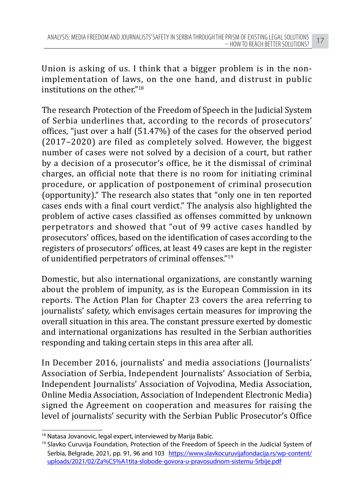Union is asking of us. I think that a bigger problem is in the nonimplementation of laws, on the one hand, and distrust in public institutions on the other."<sup>18</sup>

The research Protection of the Freedom of Speech in the Judicial System of Serbia underlines that, according to the records of prosecutors' offices, "just over a half (51.47%) of the cases for the observed period (2017–2020) are filed as completely solved. However, the biggest number of cases were not solved by a decision of a court, but rather by a decision of a prosecutor's office, be it the dismissal of criminal charges, an official note that there is no room for initiating criminal procedure, or application of postponement of criminal prosecution (opportunity)." The research also states that "only one in ten reported cases ends with a final court verdict." The analysis also highlighted the problem of active cases classified as offenses committed by unknown perpetrators and showed that "out of 99 active cases handled by prosecutors' offices, based on the identification of cases according to the registers of prosecutors' offices, at least 49 cases are kept in the register of unidentified perpetrators of criminal offenses."<sup>19</sup>

Domestic, but also international organizations, are constantly warning about the problem of impunity, as is the European Commission in its reports. The Action Plan for Chapter 23 covers the area referring to journalists' safety, which envisages certain measures for improving the overall situation in this area. The constant pressure exerted by domestic and international organizations has resulted in the Serbian authorities responding and taking certain steps in this area after all.

In December 2016, journalists' and media associations (Journalists' Association of Serbia, Independent Journalists' Association of Serbia, Independent Journalists' Association of Vojvodina, Media Association, Online Media Association, Association of Independent Electronic Media) signed the Agreement on cooperation and measures for raising the level of journalists' security with the Serbian Public Prosecutor's Office

<sup>&</sup>lt;sup>18</sup> Natasa Jovanovic, legal expert, interviewed by Marija Babic.

<sup>&</sup>lt;sup>19</sup> Slavko Curuvija Foundation, Protection of the Freedom of Speech in the Judicial System of Serbia, Belgrade, 2021, pp. 91, 96 and 103 https://www.slavkocuruvijafondacija.rs/wp-content/ uploads/2021/02/Za%C5%A1tita-slobode-govora-u-pravosudnom-sistemu-Srbije.pdf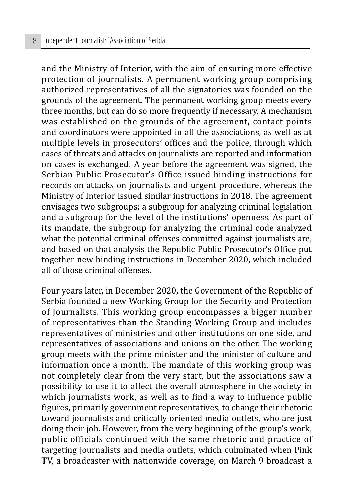and the Ministry of Interior, with the aim of ensuring more effective protection of journalists. A permanent working group comprising authorized representatives of all the signatories was founded on the grounds of the agreement. The permanent working group meets every three months, but can do so more frequently if necessary. A mechanism was established on the grounds of the agreement, contact points and coordinators were appointed in all the associations, as well as at multiple levels in prosecutors' offices and the police, through which cases of threats and attacks on journalists are reported and information on cases is exchanged. A year before the agreement was signed, the Serbian Public Prosecutor's Office issued binding instructions for records on attacks on journalists and urgent procedure, whereas the Ministry of Interior issued similar instructions in 2018. The agreement envisages two subgroups: a subgroup for analyzing criminal legislation and a subgroup for the level of the institutions' openness. As part of its mandate, the subgroup for analyzing the criminal code analyzed what the potential criminal offenses committed against journalists are, and based on that analysis the Republic Public Prosecutor's Office put together new binding instructions in December 2020, which included all of those criminal offenses.

Four years later, in December 2020, the Government of the Republic of Serbia founded a new Working Group for the Security and Protection of Journalists. This working group encompasses a bigger number of representatives than the Standing Working Group and includes representatives of ministries and other institutions on one side, and representatives of associations and unions on the other. The working group meets with the prime minister and the minister of culture and information once a month. The mandate of this working group was not completely clear from the very start, but the associations saw a possibility to use it to affect the overall atmosphere in the society in which journalists work, as well as to find a way to influence public figures, primarily government representatives, to change their rhetoric toward journalists and critically oriented media outlets, who are just doing their job. However, from the very beginning of the group's work, public officials continued with the same rhetoric and practice of targeting journalists and media outlets, which culminated when Pink TV, a broadcaster with nationwide coverage, on March 9 broadcast a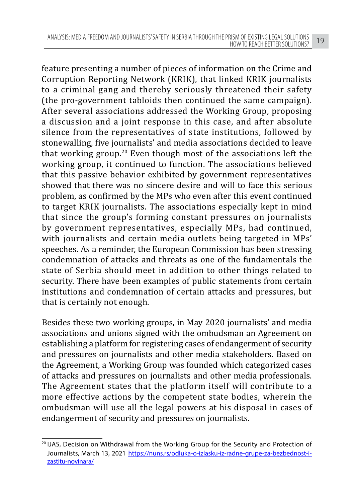feature presenting a number of pieces of information on the Crime and Corruption Reporting Network (KRIK), that linked KRIK journalists to a criminal gang and thereby seriously threatened their safety (the pro-government tabloids then continued the same campaign). After several associations addressed the Working Group, proposing a discussion and a joint response in this case, and after absolute silence from the representatives of state institutions, followed by stonewalling, five journalists' and media associations decided to leave that working group.20 Even though most of the associations left the working group, it continued to function. The associations believed that this passive behavior exhibited by government representatives showed that there was no sincere desire and will to face this serious problem, as confirmed by the MPs who even after this event continued to target KRIK journalists. The associations especially kept in mind that since the group's forming constant pressures on journalists by government representatives, especially MPs, had continued, with journalists and certain media outlets being targeted in MPs' speeches. As a reminder, the European Commission has been stressing condemnation of attacks and threats as one of the fundamentals the state of Serbia should meet in addition to other things related to security. There have been examples of public statements from certain institutions and condemnation of certain attacks and pressures, but that is certainly not enough.

Besides these two working groups, in May 2020 journalists' and media associations and unions signed with the ombudsman an Agreement on establishing a platform for registering cases of endangerment of security and pressures on journalists and other media stakeholders. Based on the Agreement, a Working Group was founded which categorized cases of attacks and pressures on journalists and other media professionals. The Agreement states that the platform itself will contribute to a more effective actions by the competent state bodies, wherein the ombudsman will use all the legal powers at his disposal in cases of endangerment of security and pressures on journalists.

<sup>&</sup>lt;sup>20</sup> IJAS, Decision on Withdrawal from the Working Group for the Security and Protection of Journalists, March 13, 2021 https://nuns.rs/odluka-o-izlasku-iz-radne-grupe-za-bezbednost-izastitu-novinara/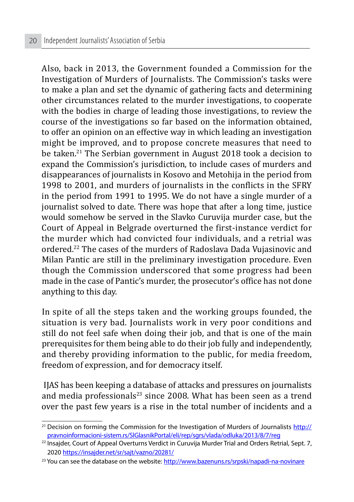Also, back in 2013, the Government founded a Commission for the Investigation of Murders of Journalists. The Commission's tasks were to make a plan and set the dynamic of gathering facts and determining other circumstances related to the murder investigations, to cooperate with the bodies in charge of leading those investigations, to review the course of the investigations so far based on the information obtained, to offer an opinion on an effective way in which leading an investigation might be improved, and to propose concrete measures that need to be taken.21 The Serbian government in August 2018 took a decision to expand the Commission's jurisdiction, to include cases of murders and disappearances of journalists in Kosovo and Metohija in the period from 1998 to 2001, and murders of journalists in the conflicts in the SFRY in the period from 1991 to 1995. We do not have a single murder of a journalist solved to date. There was hope that after a long time, justice would somehow be served in the Slavko Curuvija murder case, but the Court of Appeal in Belgrade overturned the first-instance verdict for the murder which had convicted four individuals, and a retrial was ordered.22 The cases of the murders of Radoslava Dada Vujasinovic and Milan Pantic are still in the preliminary investigation procedure. Even though the Commission underscored that some progress had been made in the case of Pantic's murder, the prosecutor's office has not done anything to this day.

In spite of all the steps taken and the working groups founded, the situation is very bad. Journalists work in very poor conditions and still do not feel safe when doing their job, and that is one of the main prerequisites for them being able to do their job fully and independently, and thereby providing information to the public, for media freedom, freedom of expression, and for democracy itself.

 IJAS has been keeping a database of attacks and pressures on journalists and media professionals<sup>23</sup> since 2008. What has been seen as a trend over the past few years is a rise in the total number of incidents and a

<sup>&</sup>lt;sup>21</sup> Decision on forming the Commission for the Investigation of Murders of Journalists http:// pravnoinformacioni-sistem.rs/SlGlasnikPortal/eli/rep/sgrs/vlada/odluka/2013/8/7/reg

<sup>&</sup>lt;sup>22</sup> Insajder, Court of Appeal Overturns Verdict in Curuvija Murder Trial and Orders Retrial, Sept. 7, 2020 https://insajder.net/sr/sajt/vazno/20281/

<sup>&</sup>lt;sup>23</sup> You can see the database on the website: http://www.bazenuns.rs/srpski/napadi-na-novinare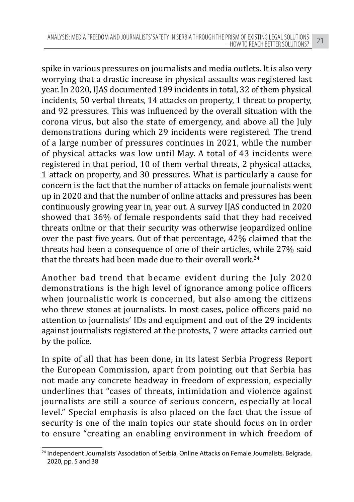spike in various pressures on journalists and media outlets. It is also very worrying that a drastic increase in physical assaults was registered last year. In 2020, IJAS documented 189 incidents in total, 32 of them physical incidents, 50 verbal threats, 14 attacks on property, 1 threat to property, and 92 pressures. This was influenced by the overall situation with the corona virus, but also the state of emergency, and above all the July demonstrations during which 29 incidents were registered. The trend of a large number of pressures continues in 2021, while the number of physical attacks was low until May. A total of 43 incidents were registered in that period, 10 of them verbal threats, 2 physical attacks, 1 attack on property, and 30 pressures. What is particularly a cause for concern is the fact that the number of attacks on female journalists went up in 2020 and that the number of online attacks and pressures has been continuously growing year in, year out. A survey IJAS conducted in 2020 showed that 36% of female respondents said that they had received threats online or that their security was otherwise jeopardized online over the past five years. Out of that percentage, 42% claimed that the threats had been a consequence of one of their articles, while 27% said that the threats had been made due to their overall work.24

Another bad trend that became evident during the July 2020 demonstrations is the high level of ignorance among police officers when journalistic work is concerned, but also among the citizens who threw stones at journalists. In most cases, police officers paid no attention to journalists' IDs and equipment and out of the 29 incidents against journalists registered at the protests, 7 were attacks carried out by the police.

In spite of all that has been done, in its latest Serbia Progress Report the European Commission, apart from pointing out that Serbia has not made any concrete headway in freedom of expression, especially underlines that "cases of threats, intimidation and violence against journalists are still a source of serious concern, especially at local level." Special emphasis is also placed on the fact that the issue of security is one of the main topics our state should focus on in order to ensure "creating an enabling environment in which freedom of

<sup>&</sup>lt;sup>24</sup> Independent Journalists' Association of Serbia, Online Attacks on Female Journalists, Belgrade, 2020, pp. 5 and 38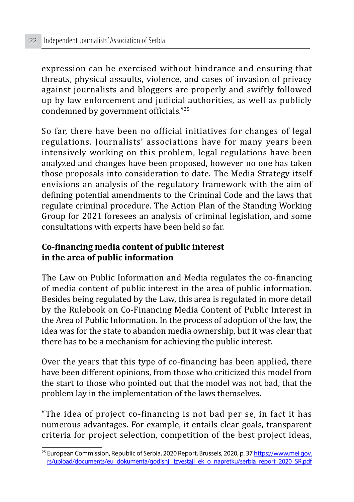expression can be exercised without hindrance and ensuring that threats, physical assaults, violence, and cases of invasion of privacy against journalists and bloggers are properly and swiftly followed up by law enforcement and judicial authorities, as well as publicly condemned by government officials."<sup>25</sup>

So far, there have been no official initiatives for changes of legal regulations. Journalists' associations have for many years been intensively working on this problem, legal regulations have been analyzed and changes have been proposed, however no one has taken those proposals into consideration to date. The Media Strategy itself envisions an analysis of the regulatory framework with the aim of defining potential amendments to the Criminal Code and the laws that regulate criminal procedure. The Action Plan of the Standing Working Group for 2021 foresees an analysis of criminal legislation, and some consultations with experts have been held so far.

#### **Co-financing media content of public interest in the area of public information**

The Law on Public Information and Media regulates the co-financing of media content of public interest in the area of public information. Besides being regulated by the Law, this area is regulated in more detail by the Rulebook on Co-Financing Media Content of Public Interest in the Area of Public Information. In the process of adoption of the law, the idea was for the state to abandon media ownership, but it was clear that there has to be a mechanism for achieving the public interest.

Over the years that this type of co-financing has been applied, there have been different opinions, from those who criticized this model from the start to those who pointed out that the model was not bad, that the problem lay in the implementation of the laws themselves.

"The idea of project co-financing is not bad per se, in fact it has numerous advantages. For example, it entails clear goals, transparent criteria for project selection, competition of the best project ideas,

<sup>&</sup>lt;sup>25</sup> European Commission, Republic of Serbia, 2020 Report, Brussels, 2020, p. 37 https://www.mei.gov. rs/upload/documents/eu\_dokumenta/godisnji\_izvestaji\_ek\_o\_napretku/serbia\_report\_2020\_SR.pdf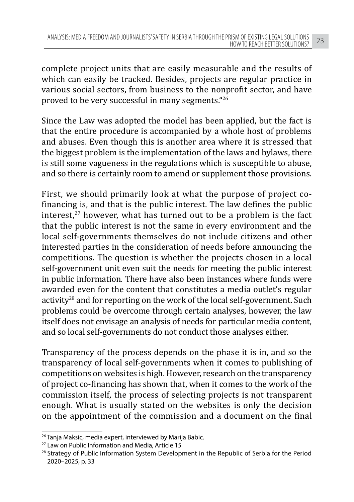complete project units that are easily measurable and the results of which can easily be tracked. Besides, projects are regular practice in various social sectors, from business to the nonprofit sector, and have proved to be very successful in many segments."<sup>26</sup>

Since the Law was adopted the model has been applied, but the fact is that the entire procedure is accompanied by a whole host of problems and abuses. Even though this is another area where it is stressed that the biggest problem is the implementation of the laws and bylaws, there is still some vagueness in the regulations which is susceptible to abuse, and so there is certainly room to amend or supplement those provisions.

First, we should primarily look at what the purpose of project cofinancing is, and that is the public interest. The law defines the public interest, $27$  however, what has turned out to be a problem is the fact that the public interest is not the same in every environment and the local self-governments themselves do not include citizens and other interested parties in the consideration of needs before announcing the competitions. The question is whether the projects chosen in a local self-government unit even suit the needs for meeting the public interest in public information. There have also been instances where funds were awarded even for the content that constitutes a media outlet's regular activity<sup>28</sup> and for reporting on the work of the local self-government. Such problems could be overcome through certain analyses, however, the law itself does not envisage an analysis of needs for particular media content, and so local self-governments do not conduct those analyses either.

Transparency of the process depends on the phase it is in, and so the transparency of local self-governments when it comes to publishing of competitions on websites is high. However, research on the transparency of project co-financing has shown that, when it comes to the work of the commission itself, the process of selecting projects is not transparent enough. What is usually stated on the websites is only the decision on the appointment of the commission and a document on the final

<sup>&</sup>lt;sup>26</sup> Tanja Maksic, media expert, interviewed by Marija Babic.

<sup>27</sup> Law on Public Information and Media, Article 15

<sup>&</sup>lt;sup>28</sup> Strategy of Public Information System Development in the Republic of Serbia for the Period 2020–2025, p. 33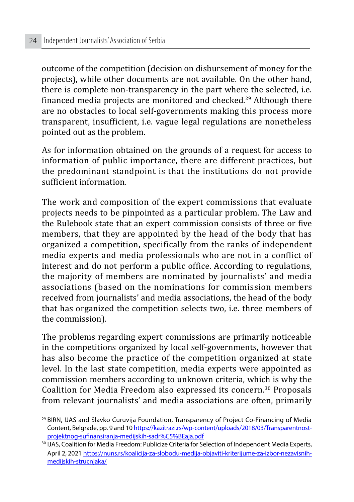outcome of the competition (decision on disbursement of money for the projects), while other documents are not available. On the other hand, there is complete non-transparency in the part where the selected, i.e. financed media projects are monitored and checked.<sup>29</sup> Although there are no obstacles to local self-governments making this process more transparent, insufficient, i.e. vague legal regulations are nonetheless pointed out as the problem.

As for information obtained on the grounds of a request for access to information of public importance, there are different practices, but the predominant standpoint is that the institutions do not provide sufficient information.

The work and composition of the expert commissions that evaluate projects needs to be pinpointed as a particular problem. The Law and the Rulebook state that an expert commission consists of three or five members, that they are appointed by the head of the body that has organized a competition, specifically from the ranks of independent media experts and media professionals who are not in a conflict of interest and do not perform a public office. According to regulations, the majority of members are nominated by journalists' and media associations (based on the nominations for commission members received from journalists' and media associations, the head of the body that has organized the competition selects two, i.e. three members of the commission).

The problems regarding expert commissions are primarily noticeable in the competitions organized by local self-governments, however that has also become the practice of the competition organized at state level. In the last state competition, media experts were appointed as commission members according to unknown criteria, which is why the Coalition for Media Freedom also expressed its concern.30 Proposals from relevant journalists' and media associations are often, primarily

<sup>29</sup> BIRN, IJAS and Slavko Curuvija Foundation, Transparency of Project Co-Financing of Media Content, Belgrade, pp. 9 and 10 https://kazitrazi.rs/wp-content/uploads/2018/03/Transparentnostprojektnog-sufinansiranja-medijskih-sadr%C5%BEaja.pdf

<sup>&</sup>lt;sup>30</sup> IJAS, Coalition for Media Freedom: Publicize Criteria for Selection of Independent Media Experts, April 2, 2021 https://nuns.rs/koalicija-za-slobodu-medija-objaviti-kriterijume-za-izbor-nezavisnihmedijskih-strucnjaka/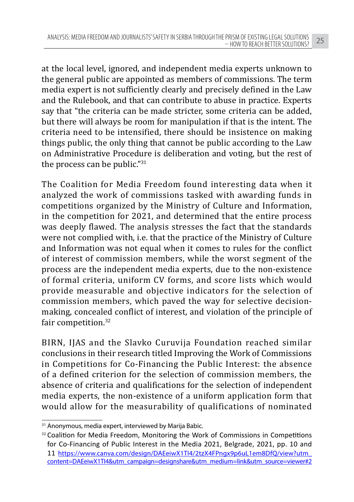at the local level, ignored, and independent media experts unknown to the general public are appointed as members of commissions. The term media expert is not sufficiently clearly and precisely defined in the Law and the Rulebook, and that can contribute to abuse in practice. Experts say that "the criteria can be made stricter, some criteria can be added, but there will always be room for manipulation if that is the intent. The criteria need to be intensified, there should be insistence on making things public, the only thing that cannot be public according to the Law on Administrative Procedure is deliberation and voting, but the rest of the process can be public."<sup>31</sup>

The Coalition for Media Freedom found interesting data when it analyzed the work of commissions tasked with awarding funds in competitions organized by the Ministry of Culture and Information, in the competition for 2021, and determined that the entire process was deeply flawed. The analysis stresses the fact that the standards were not complied with, i.e. that the practice of the Ministry of Culture and Information was not equal when it comes to rules for the conflict of interest of commission members, while the worst segment of the process are the independent media experts, due to the non-existence of formal criteria, uniform CV forms, and score lists which would provide measurable and objective indicators for the selection of commission members, which paved the way for selective decisionmaking, concealed conflict of interest, and violation of the principle of fair competition.<sup>32</sup>

BIRN, IJAS and the Slavko Curuvija Foundation reached similar conclusions in their research titled Improving the Work of Commissions in Competitions for Co-Financing the Public Interest: the absence of a defined criterion for the selection of commission members, the absence of criteria and qualifications for the selection of independent media experts, the non-existence of a uniform application form that would allow for the measurability of qualifications of nominated

<sup>&</sup>lt;sup>31</sup> Anonymous, media expert, interviewed by Marija Babic.

<sup>&</sup>lt;sup>32</sup> Coalition for Media Freedom, Monitoring the Work of Commissions in Competitions for Co-Financing of Public Interest in the Media 2021, Belgrade, 2021, pp. 10 and 11 https://www.canva.com/design/DAEeiwX1TI4/2tzX4FPngx9p6uL1em8DfQ/view?utm\_ content=DAEeiwX1TI4&utm\_campaign=designshare&utm\_medium=link&utm\_source=viewer#2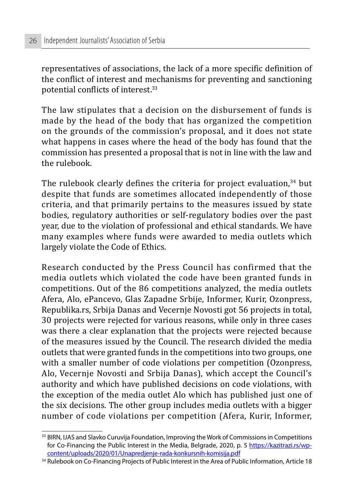representatives of associations, the lack of a more specific definition of the conflict of interest and mechanisms for preventing and sanctioning potential conflicts of interest.<sup>33</sup>

The law stipulates that a decision on the disbursement of funds is made by the head of the body that has organized the competition on the grounds of the commission's proposal, and it does not state what happens in cases where the head of the body has found that the commission has presented a proposal that is not in line with the law and the rulebook.

The rulebook clearly defines the criteria for project evaluation.<sup>34</sup> but despite that funds are sometimes allocated independently of those criteria, and that primarily pertains to the measures issued by state bodies, regulatory authorities or self-regulatory bodies over the past year, due to the violation of professional and ethical standards. We have many examples where funds were awarded to media outlets which largely violate the Code of Ethics.

Research conducted by the Press Council has confirmed that the media outlets which violated the code have been granted funds in competitions. Out of the 86 competitions analyzed, the media outlets Afera, Alo, ePancevo, Glas Zapadne Srbije, Informer, Kurir, Ozonpress, Republika.rs, Srbija Danas and Vecernje Novosti got 56 projects in total, 30 projects were rejected for various reasons, while only in three cases was there a clear explanation that the projects were rejected because of the measures issued by the Council. The research divided the media outlets that were granted funds in the competitions into two groups, one with a smaller number of code violations per competition (Ozonpress, Alo, Vecernje Novosti and Srbija Danas), which accept the Council's authority and which have published decisions on code violations, with the exception of the media outlet Alo which has published just one of the six decisions. The other group includes media outlets with a bigger number of code violations per competition (Afera, Kurir, Informer,

<sup>&</sup>lt;sup>33</sup> BIRN, IJAS and Slavko Curuvija Foundation, Improving the Work of Commissions in Competitions for Co-Financing the Public Interest in the Media, Belgrade, 2020, p. 5 https://kazitrazi.rs/wpcontent/uploads/2020/01/Unapredjenje-rada-konkursnih-komisija.pdf

<sup>&</sup>lt;sup>34</sup> Rulebook on Co-Financing Projects of Public Interest in the Area of Public Information, Article 18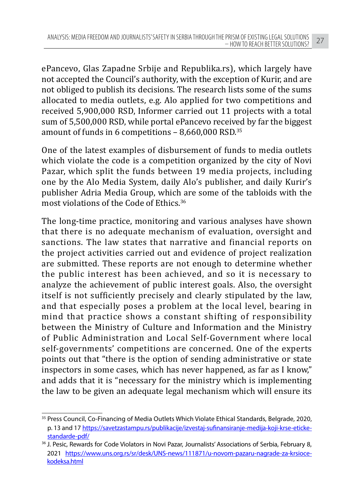ePancevo, Glas Zapadne Srbije and Republika.rs), which largely have not accepted the Council's authority, with the exception of Kurir, and are not obliged to publish its decisions. The research lists some of the sums allocated to media outlets, e.g. Alo applied for two competitions and received 5,900,000 RSD, Informer carried out 11 projects with a total sum of 5,500,000 RSD, while portal ePancevo received by far the biggest amount of funds in 6 competitions – 8,660,000 RSD.<sup>35</sup>

One of the latest examples of disbursement of funds to media outlets which violate the code is a competition organized by the city of Novi Pazar, which split the funds between 19 media projects, including one by the Alo Media System, daily Alo's publisher, and daily Kurir's publisher Adria Media Group, which are some of the tabloids with the most violations of the Code of Ethics.<sup>36</sup>

The long-time practice, monitoring and various analyses have shown that there is no adequate mechanism of evaluation, oversight and sanctions. The law states that narrative and financial reports on the project activities carried out and evidence of project realization are submitted. These reports are not enough to determine whether the public interest has been achieved, and so it is necessary to analyze the achievement of public interest goals. Also, the oversight itself is not sufficiently precisely and clearly stipulated by the law, and that especially poses a problem at the local level, bearing in mind that practice shows a constant shifting of responsibility between the Ministry of Culture and Information and the Ministry of Public Administration and Local Self-Government where local self-governments' competitions are concerned. One of the experts points out that "there is the option of sending administrative or state inspectors in some cases, which has never happened, as far as I know," and adds that it is "necessary for the ministry which is implementing the law to be given an adequate legal mechanism which will ensure its

<sup>&</sup>lt;sup>35</sup> Press Council, Co-Financing of Media Outlets Which Violate Ethical Standards, Belgrade, 2020, p. 13 and 17 https://savetzastampu.rs/publikacije/izvestaj-sufinansiranje-medija-koji-krse-etickestandarde-pdf/

<sup>&</sup>lt;sup>36</sup> J. Pesic, Rewards for Code Violators in Novi Pazar, Journalists' Associations of Serbia, February 8, 2021 https://www.uns.org.rs/sr/desk/UNS-news/111871/u-novom-pazaru-nagrade-za-krsiocekodeksa.html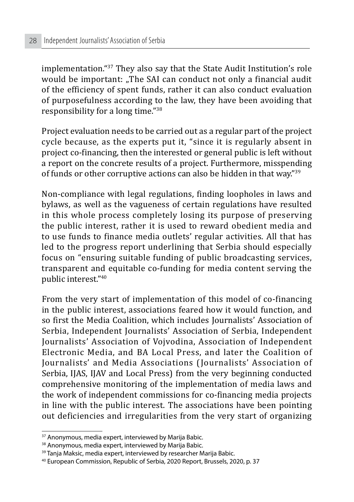implementation."37 They also say that the State Audit Institution's role would be important: "The SAI can conduct not only a financial audit of the efficiency of spent funds, rather it can also conduct evaluation of purposefulness according to the law, they have been avoiding that responsibility for a long time."<sup>38</sup>

Project evaluation needs to be carried out as a regular part of the project cycle because, as the experts put it, "since it is regularly absent in project co-financing, then the interested or general public is left without a report on the concrete results of a project. Furthermore, misspending of funds or other corruptive actions can also be hidden in that way."<sup>39</sup>

Non-compliance with legal regulations, finding loopholes in laws and bylaws, as well as the vagueness of certain regulations have resulted in this whole process completely losing its purpose of preserving the public interest, rather it is used to reward obedient media and to use funds to finance media outlets' regular activities. All that has led to the progress report underlining that Serbia should especially focus on "ensuring suitable funding of public broadcasting services, transparent and equitable co-funding for media content serving the public interest."40

From the very start of implementation of this model of co-financing in the public interest, associations feared how it would function, and so first the Media Coalition, which includes Journalists' Association of Serbia, Independent Journalists' Association of Serbia, Independent Journalists' Association of Vojvodina, Association of Independent Electronic Media, and BA Local Press, and later the Coalition of Journalists' and Media Associations (Journalists' Association of Serbia, IIAS, IIAV and Local Press) from the very beginning conducted comprehensive monitoring of the implementation of media laws and the work of independent commissions for co-financing media projects in line with the public interest. The associations have been pointing out deficiencies and irregularities from the very start of organizing

<sup>&</sup>lt;sup>37</sup> Anonymous, media expert, interviewed by Marija Babic.

<sup>38</sup> Anonymous, media expert, interviewed by Marija Babic.

<sup>&</sup>lt;sup>39</sup> Tanja Maksic, media expert, interviewed by researcher Marija Babic.

<sup>40</sup> European Commission, Republic of Serbia, 2020 Report, Brussels, 2020, p. 37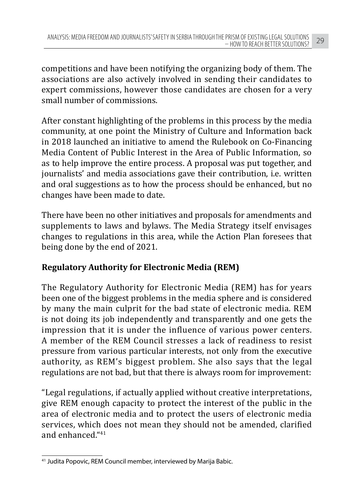competitions and have been notifying the organizing body of them. The associations are also actively involved in sending their candidates to expert commissions, however those candidates are chosen for a very small number of commissions.

After constant highlighting of the problems in this process by the media community, at one point the Ministry of Culture and Information back in 2018 launched an initiative to amend the Rulebook on Co-Financing Media Content of Public Interest in the Area of Public Information, so as to help improve the entire process. A proposal was put together, and journalists' and media associations gave their contribution, i.e. written and oral suggestions as to how the process should be enhanced, but no changes have been made to date.

There have been no other initiatives and proposals for amendments and supplements to laws and bylaws. The Media Strategy itself envisages changes to regulations in this area, while the Action Plan foresees that being done by the end of 2021.

# **Regulatory Authority for Electronic Media (REM)**

The Regulatory Authority for Electronic Media (REM) has for years been one of the biggest problems in the media sphere and is considered by many the main culprit for the bad state of electronic media. REM is not doing its job independently and transparently and one gets the impression that it is under the influence of various power centers. A member of the REM Council stresses a lack of readiness to resist pressure from various particular interests, not only from the executive authority, as REM's biggest problem. She also says that the legal regulations are not bad, but that there is always room for improvement:

"Legal regulations, if actually applied without creative interpretations, give REM enough capacity to protect the interest of the public in the area of electronic media and to protect the users of electronic media services, which does not mean they should not be amended, clarified and enhanced."<sup>41</sup>

<sup>41</sup> Judita Popovic, REM Council member, interviewed by Marija Babic.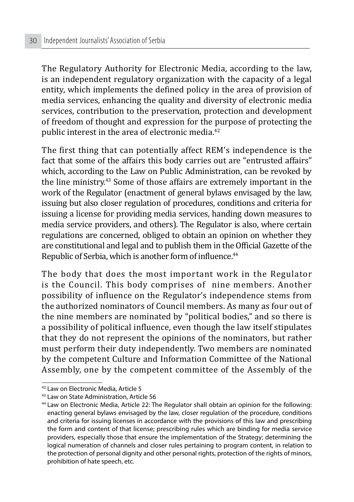The Regulatory Authority for Electronic Media, according to the law, is an independent regulatory organization with the capacity of a legal entity, which implements the defined policy in the area of provision of media services, enhancing the quality and diversity of electronic media services, contribution to the preservation, protection and development of freedom of thought and expression for the purpose of protecting the public interest in the area of electronic media.<sup>42</sup>

The first thing that can potentially affect REM's independence is the fact that some of the affairs this body carries out are "entrusted affairs" which, according to the Law on Public Administration, can be revoked by the line ministry.43 Some of those affairs are extremely important in the work of the Regulator (enactment of general bylaws envisaged by the law, issuing but also closer regulation of procedures, conditions and criteria for issuing a license for providing media services, handing down measures to media service providers, and others). The Regulator is also, where certain regulations are concerned, obliged to obtain an opinion on whether they are constitutional and legal and to publish them in the Official Gazette of the Republic of Serbia, which is another form of influence.<sup>44</sup>

The body that does the most important work in the Regulator is the Council. This body comprises of nine members. Another possibility of influence on the Regulator's independence stems from the authorized nominators of Council members. As many as four out of the nine members are nominated by "political bodies," and so there is a possibility of political influence, even though the law itself stipulates that they do not represent the opinions of the nominators, but rather must perform their duty independently. Two members are nominated by the competent Culture and Information Committee of the National Assembly, one by the competent committee of the Assembly of the

<sup>42</sup> Law on Electronic Media, Article 5

<sup>43</sup> Law on State Administration, Article 56

<sup>44</sup> Law on Electronic Media, Article 22: The Regulator shall obtain an opinion for the following: enacting general bylaws envisaged by the law, closer regulation of the procedure, conditions and criteria for issuing licenses in accordance with the provisions of this law and prescribing the form and content of that license; prescribing rules which are binding for media service providers, especially those that ensure the implementation of the Strategy; determining the logical numeration of channels and closer rules pertaining to program content, in relation to the protection of personal dignity and other personal rights, protection of the rights of minors, prohibition of hate speech, etc.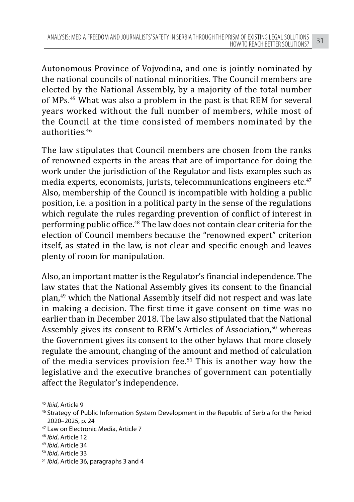Autonomous Province of Vojvodina, and one is jointly nominated by the national councils of national minorities. The Council members are elected by the National Assembly, by a majority of the total number of MPs.45 What was also a problem in the past is that REM for several years worked without the full number of members, while most of the Council at the time consisted of members nominated by the authorities.<sup>46</sup>

The law stipulates that Council members are chosen from the ranks of renowned experts in the areas that are of importance for doing the work under the jurisdiction of the Regulator and lists examples such as media experts, economists, jurists, telecommunications engineers etc. $47$ Also, membership of the Council is incompatible with holding a public position, i.e. a position in a political party in the sense of the regulations which regulate the rules regarding prevention of conflict of interest in performing public office.<sup>48</sup> The law does not contain clear criteria for the election of Council members because the "renowned expert" criterion itself, as stated in the law, is not clear and specific enough and leaves plenty of room for manipulation.

Also, an important matter is the Regulator's financial independence. The law states that the National Assembly gives its consent to the financial plan,49 which the National Assembly itself did not respect and was late in making a decision. The first time it gave consent on time was no earlier than in December 2018. The law also stipulated that the National Assembly gives its consent to REM's Articles of Association,<sup>50</sup> whereas the Government gives its consent to the other bylaws that more closely regulate the amount, changing of the amount and method of calculation of the media services provision fee.<sup>51</sup> This is another way how the legislative and the executive branches of government can potentially affect the Regulator's independence.

<sup>&</sup>lt;sup>45</sup> *Ibid*, Article 9<br><sup>46</sup> Strategy of Public Information System Development in the Republic of Serbia for the Period 2020–2025, p. 24

<sup>47</sup> Law on Electronic Media, Article 7

<sup>48</sup> *Ibid*, Article 12

<sup>49</sup> *Ibid*, Article 34

<sup>50</sup> *Ibid*, Article 33

<sup>51</sup> *Ibid*, Article 36, paragraphs 3 and 4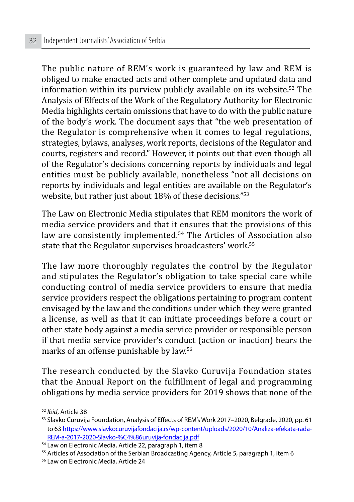The public nature of REM's work is guaranteed by law and REM is obliged to make enacted acts and other complete and updated data and information within its purview publicly available on its website.52 The Analysis of Effects of the Work of the Regulatory Authority for Electronic Media highlights certain omissions that have to do with the public nature of the body's work. The document says that "the web presentation of the Regulator is comprehensive when it comes to legal regulations, strategies, bylaws, analyses, work reports, decisions of the Regulator and courts, registers and record." However, it points out that even though all of the Regulator's decisions concerning reports by individuals and legal entities must be publicly available, nonetheless "not all decisions on reports by individuals and legal entities are available on the Regulator's website, but rather just about 18% of these decisions."53

The Law on Electronic Media stipulates that REM monitors the work of media service providers and that it ensures that the provisions of this law are consistently implemented.<sup>54</sup> The Articles of Association also state that the Regulator supervises broadcasters' work.<sup>55</sup>

The law more thoroughly regulates the control by the Regulator and stipulates the Regulator's obligation to take special care while conducting control of media service providers to ensure that media service providers respect the obligations pertaining to program content envisaged by the law and the conditions under which they were granted a license, as well as that it can initiate proceedings before a court or other state body against a media service provider or responsible person if that media service provider's conduct (action or inaction) bears the marks of an offense punishable by law.<sup>56</sup>

The research conducted by the Slavko Curuvija Foundation states that the Annual Report on the fulfillment of legal and programming obligations by media service providers for 2019 shows that none of the

<sup>&</sup>lt;sup>52</sup> *Ibid*, Article 38<br><sup>53</sup> Slavko Curuvija Foundation, Analysis of Effects of REM's Work 2017–2020, Belgrade, 2020, pp. 61 to 63 https://www.slavkocuruvijafondacija.rs/wp-content/uploads/2020/10/Analiza-efekata-rada-REM-a-2017-2020-Slavko-%C4%86uruvija-fondacija.pdf

<sup>54</sup> Law on Electronic Media, Article 22, paragraph 1, item 8

<sup>&</sup>lt;sup>55</sup> Articles of Association of the Serbian Broadcasting Agency, Article 5, paragraph 1, item 6

<sup>56</sup> Law on Electronic Media, Article 24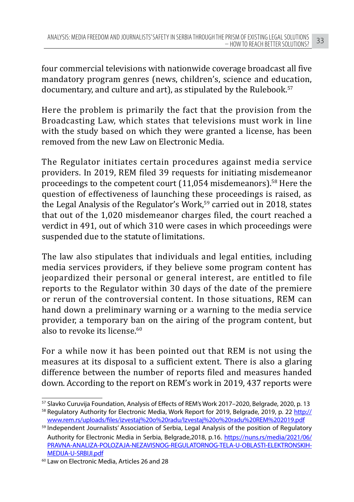four commercial televisions with nationwide coverage broadcast all five mandatory program genres (news, children's, science and education, documentary, and culture and art), as stipulated by the Rulebook.<sup>57</sup>

Here the problem is primarily the fact that the provision from the Broadcasting Law, which states that televisions must work in line with the study based on which they were granted a license, has been removed from the new Law on Electronic Media.

The Regulator initiates certain procedures against media service providers. In 2019, REM filed 39 requests for initiating misdemeanor proceedings to the competent court (11,054 misdemeanors).58 Here the question of effectiveness of launching these proceedings is raised, as the Legal Analysis of the Regulator's Work,<sup>59</sup> carried out in 2018, states that out of the 1,020 misdemeanor charges filed, the court reached a verdict in 491, out of which 310 were cases in which proceedings were suspended due to the statute of limitations.

The law also stipulates that individuals and legal entities, including media services providers, if they believe some program content has jeopardized their personal or general interest, are entitled to file reports to the Regulator within 30 days of the date of the premiere or rerun of the controversial content. In those situations, REM can hand down a preliminary warning or a warning to the media service provider, a temporary ban on the airing of the program content, but also to revoke its license  $60$ 

For a while now it has been pointed out that REM is not using the measures at its disposal to a sufficient extent. There is also a glaring difference between the number of reports filed and measures handed down. According to the report on REM's work in 2019, 437 reports were

<sup>57</sup> Slavko Curuvija Foundation, Analysis of Effects of REM's Work 2017–2020, Belgrade, 2020, p. 13

<sup>58</sup> Regulatory Authority for Electronic Media, Work Report for 2019, Belgrade, 2019, p. 22 http:// www.rem.rs/uploads/files/izvestaj%20o%20radu/Izvestaj%20o%20radu%20REM%202019.pdf

<sup>59</sup> Independent Journalists' Association of Serbia, Legal Analysis of the position of Regulatory Authority for Electronic Media in Serbia, Belgrade,2018, p.16. https://nuns.rs/media/2021/06/ PRAVNA-ANALIZA-POLOZAJA-NEZAVISNOG-REGULATORNOG-TELA-U-OBLASTI-ELEKTRONSKIH-MEDIJA-U-SRBIJI.pdf

<sup>60</sup> Law on Electronic Media, Articles 26 and 28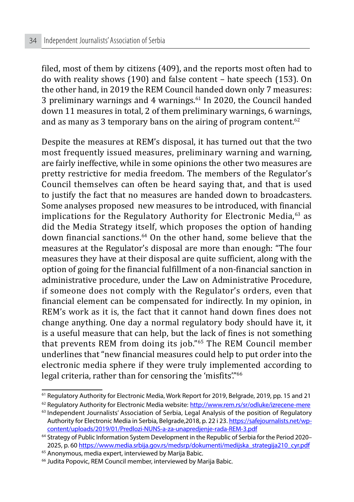filed, most of them by citizens (409), and the reports most often had to do with reality shows (190) and false content – hate speech (153). On the other hand, in 2019 the REM Council handed down only 7 measures: 3 preliminary warnings and 4 warnings.<sup>61</sup> In 2020, the Council handed down 11 measures in total, 2 of them preliminary warnings, 6 warnings, and as many as 3 temporary bans on the airing of program content.<sup>62</sup>

Despite the measures at REM's disposal, it has turned out that the two most frequently issued measures, preliminary warning and warning, are fairly ineffective, while in some opinions the other two measures are pretty restrictive for media freedom. The members of the Regulator's Council themselves can often be heard saying that, and that is used to justify the fact that no measures are handed down to broadcasters. Some analyses proposed new measures to be introduced, with financial implications for the Regulatory Authority for Electronic Media, $63$  as did the Media Strategy itself, which proposes the option of handing down financial sanctions.64 On the other hand, some believe that the measures at the Regulator's disposal are more than enough: "The four measures they have at their disposal are quite sufficient, along with the option of going for the financial fulfillment of a non-financial sanction in administrative procedure, under the Law on Administrative Procedure, if someone does not comply with the Regulator's orders, even that financial element can be compensated for indirectly. In my opinion, in REM's work as it is, the fact that it cannot hand down fines does not change anything. One day a normal regulatory body should have it, it is a useful measure that can help, but the lack of fines is not something that prevents REM from doing its job."65 The REM Council member underlines that "new financial measures could help to put order into the electronic media sphere if they were truly implemented according to legal criteria, rather than for censoring the 'misfits'."<sup>66</sup>

<sup>61</sup> Regulatory Authority for Electronic Media, Work Report for 2019, Belgrade, 2019, pp. 15 and 21

<sup>&</sup>lt;sup>62</sup> Regulatory Authority for Electronic Media website: http://www.rem.rs/sr/odluke/izrecene-mere

<sup>63</sup> Independent Journalists' Association of Serbia, Legal Analysis of the position of Regulatory Authority for Electronic Media in Serbia, Belgrade,2018, p. 22 i 23. https://safejournalists.net/wpcontent/uploads/2019/01/Predlozi-NUNS-a-za-unapredjenje-rada-REM-3.pdf

<sup>64</sup> Strategy of Public Information System Development in the Republic of Serbia for the Period 2020– 2025, p. 60 https://www.media.srbija.gov.rs/medsrp/dokumenti/medijska\_strategija210\_cyr.pdf

<sup>65</sup> Anonymous, media expert, interviewed by Marija Babic.

<sup>&</sup>lt;sup>66</sup> Judita Popovic, REM Council member, interviewed by Marija Babic.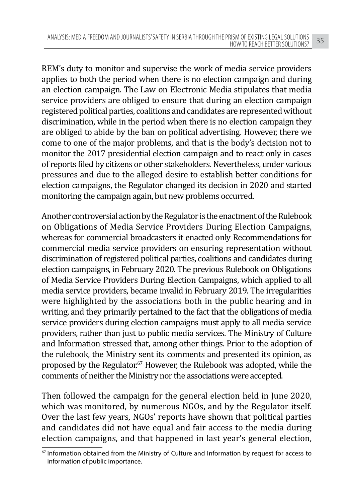REM's duty to monitor and supervise the work of media service providers applies to both the period when there is no election campaign and during an election campaign. The Law on Electronic Media stipulates that media service providers are obliged to ensure that during an election campaign registered political parties, coalitions and candidates are represented without discrimination, while in the period when there is no election campaign they are obliged to abide by the ban on political advertising. However, there we come to one of the major problems, and that is the body's decision not to monitor the 2017 presidential election campaign and to react only in cases of reports filed by citizens or other stakeholders. Nevertheless, under various pressures and due to the alleged desire to establish better conditions for election campaigns, the Regulator changed its decision in 2020 and started monitoring the campaign again, but new problems occurred.

Another controversial action by the Regulator is the enactment of the Rulebook on Obligations of Media Service Providers During Election Campaigns, whereas for commercial broadcasters it enacted only Recommendations for commercial media service providers on ensuring representation without discrimination of registered political parties, coalitions and candidates during election campaigns, in February 2020. The previous Rulebook on Obligations of Media Service Providers During Election Campaigns, which applied to all media service providers, became invalid in February 2019. The irregularities were highlighted by the associations both in the public hearing and in writing, and they primarily pertained to the fact that the obligations of media service providers during election campaigns must apply to all media service providers, rather than just to public media services. The Ministry of Culture and Information stressed that, among other things. Prior to the adoption of the rulebook, the Ministry sent its comments and presented its opinion, as proposed by the Regulator.67 However, the Rulebook was adopted, while the comments of neither the Ministry nor the associations were accepted.

Then followed the campaign for the general election held in June 2020, which was monitored, by numerous NGOs, and by the Regulator itself. Over the last few years, NGOs' reports have shown that political parties and candidates did not have equal and fair access to the media during election campaigns, and that happened in last year's general election,

 $67$  Information obtained from the Ministry of Culture and Information by request for access to information of public importance.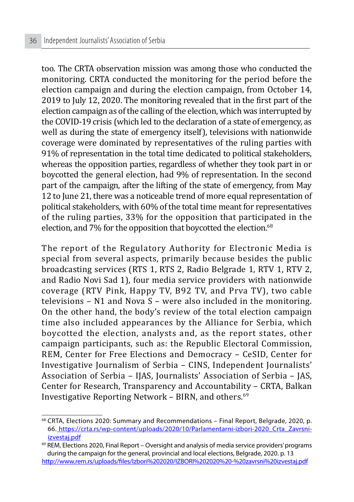too. The CRTA observation mission was among those who conducted the monitoring. CRTA conducted the monitoring for the period before the election campaign and during the election campaign, from October 14, 2019 to July 12, 2020. The monitoring revealed that in the first part of the election campaign as of the calling of the election, which was interrupted by the COVID-19 crisis (which led to the declaration of a state of emergency, as well as during the state of emergency itself), televisions with nationwide coverage were dominated by representatives of the ruling parties with 91% of representation in the total time dedicated to political stakeholders, whereas the opposition parties, regardless of whether they took part in or boycotted the general election, had 9% of representation. In the second part of the campaign, after the lifting of the state of emergency, from May 12 to June 21, there was a noticeable trend of more equal representation of political stakeholders, with 60% of the total time meant for representatives of the ruling parties, 33% for the opposition that participated in the election, and 7% for the opposition that boycotted the election. $68$ 

The report of the Regulatory Authority for Electronic Media is special from several aspects, primarily because besides the public broadcasting services (RTS 1, RTS 2, Radio Belgrade 1, RTV 1, RTV 2, and Radio Novi Sad 1), four media service providers with nationwide coverage (RTV Pink, Happy TV, B92 TV, and Prva TV), two cable televisions – N1 and Nova S – were also included in the monitoring. On the other hand, the body's review of the total election campaign time also included appearances by the Alliance for Serbia, which boycotted the election, analysts and, as the report states, other campaign participants, such as: the Republic Electoral Commission, REM, Center for Free Elections and Democracy – CeSID, Center for Investigative Journalism of Serbia – CINS, Independent Journalists' Association of Serbia – IJAS, Journalists' Association of Serbia – JAS, Center for Research, Transparency and Accountability – CRTA, Balkan Investigative Reporting Network – BIRN, and others.<sup>69</sup>

<sup>68</sup> CRTA, Elections 2020: Summary and Recommendations – Final Report, Belgrade, 2020, p. 66. https://crta.rs/wp-content/uploads/2020/10/Parlamentarni-izbori-2020\_Crta\_Zavrsniizvestaj.pdf

 $69$  REM, Elections 2020, Final Report – Oversight and analysis of media service providers' programs during the campaign for the general, provincial and local elections, Belgrade, 2020. p. 13 http://www.rem.rs/uploads/files/Izbori%202020/IZBORI%202020%20-%20zavrsni%20izvestaj.pdf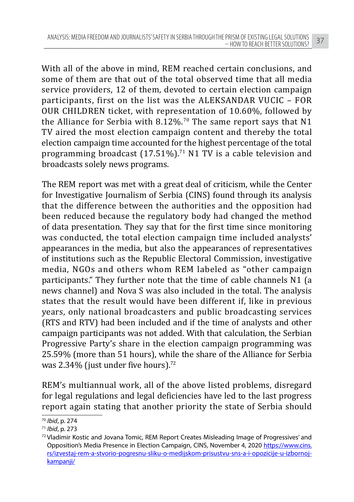With all of the above in mind, REM reached certain conclusions, and some of them are that out of the total observed time that all media service providers, 12 of them, devoted to certain election campaign participants, first on the list was the ALEKSANDAR VUCIC – FOR OUR CHILDREN ticket, with representation of 10.60%, followed by the Alliance for Serbia with  $8.12\%$ .<sup>70</sup> The same report says that N1 TV aired the most election campaign content and thereby the total election campaign time accounted for the highest percentage of the total programming broadcast  $(17.51\%)$ .<sup>71</sup> N1 TV is a cable television and broadcasts solely news programs.

The REM report was met with a great deal of criticism, while the Center for Investigative Journalism of Serbia (CINS) found through its analysis that the difference between the authorities and the opposition had been reduced because the regulatory body had changed the method of data presentation. They say that for the first time since monitoring was conducted, the total election campaign time included analysts' appearances in the media, but also the appearances of representatives of institutions such as the Republic Electoral Commission, investigative media, NGOs and others whom REM labeled as "other campaign participants." They further note that the time of cable channels N1 (a news channel) and Nova S was also included in the total. The analysis states that the result would have been different if, like in previous years, only national broadcasters and public broadcasting services (RTS and RTV) had been included and if the time of analysts and other campaign participants was not added. With that calculation, the Serbian Progressive Party's share in the election campaign programming was 25.59% (more than 51 hours), while the share of the Alliance for Serbia was 2.34% (just under five hours).<sup>72</sup>

REM's multiannual work, all of the above listed problems, disregard for legal regulations and legal deficiencies have led to the last progress report again stating that another priority the state of Serbia should

<sup>&</sup>lt;sup>70</sup> Ibid, p. 274<br><sup>71</sup> Ibid, p. 273<br><sup>72</sup> Vladimir Kostic and Jovana Tomic, REM Report Creates Misleading Image of Progressives' and Opposition's Media Presence in Election Campaign, CINS, November 4, 2020 https://www.cins. rs/izvestaj-rem-a-stvorio-pogresnu-sliku-o-medijskom-prisustvu-sns-a-i-opozicije-u-izbornojkampanji/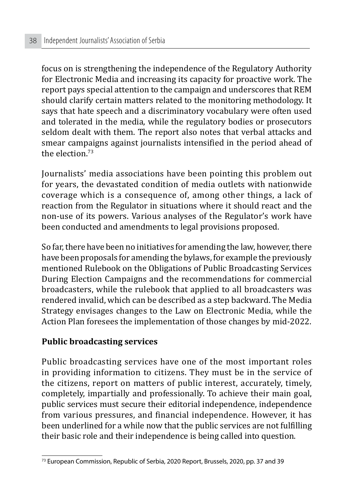focus on is strengthening the independence of the Regulatory Authority for Electronic Media and increasing its capacity for proactive work. The report pays special attention to the campaign and underscores that REM should clarify certain matters related to the monitoring methodology. It says that hate speech and a discriminatory vocabulary were often used and tolerated in the media, while the regulatory bodies or prosecutors seldom dealt with them. The report also notes that verbal attacks and smear campaigns against journalists intensified in the period ahead of the election  $73$ 

Journalists' media associations have been pointing this problem out for years, the devastated condition of media outlets with nationwide coverage which is a consequence of, among other things, a lack of reaction from the Regulator in situations where it should react and the non-use of its powers. Various analyses of the Regulator's work have been conducted and amendments to legal provisions proposed.

So far, there have been no initiatives for amending the law, however, there have been proposals for amending the bylaws, for example the previously mentioned Rulebook on the Obligations of Public Broadcasting Services During Election Campaigns and the recommendations for commercial broadcasters, while the rulebook that applied to all broadcasters was rendered invalid, which can be described as a step backward. The Media Strategy envisages changes to the Law on Electronic Media, while the Action Plan foresees the implementation of those changes by mid-2022.

#### **Public broadcasting services**

Public broadcasting services have one of the most important roles in providing information to citizens. They must be in the service of the citizens, report on matters of public interest, accurately, timely, completely, impartially and professionally. To achieve their main goal, public services must secure their editorial independence, independence from various pressures, and financial independence. However, it has been underlined for a while now that the public services are not fulfilling their basic role and their independence is being called into question.

<sup>73</sup> European Commission, Republic of Serbia, 2020 Report, Brussels, 2020, pp. 37 and 39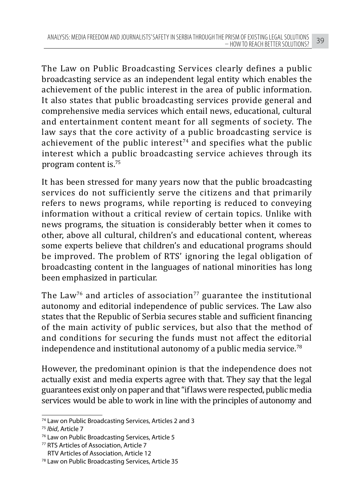The Law on Public Broadcasting Services clearly defines a public broadcasting service as an independent legal entity which enables the achievement of the public interest in the area of public information. It also states that public broadcasting services provide general and comprehensive media services which entail news, educational, cultural and entertainment content meant for all segments of society. The law says that the core activity of a public broadcasting service is achievement of the public interest<sup> $74$ </sup> and specifies what the public interest which a public broadcasting service achieves through its program content is.75

It has been stressed for many years now that the public broadcasting services do not sufficiently serve the citizens and that primarily refers to news programs, while reporting is reduced to conveying information without a critical review of certain topics. Unlike with news programs, the situation is considerably better when it comes to other, above all cultural, children's and educational content, whereas some experts believe that children's and educational programs should be improved. The problem of RTS' ignoring the legal obligation of broadcasting content in the languages of national minorities has long been emphasized in particular.

The Law<sup>76</sup> and articles of association<sup>77</sup> guarantee the institutional autonomy and editorial independence of public services. The Law also states that the Republic of Serbia secures stable and sufficient financing of the main activity of public services, but also that the method of and conditions for securing the funds must not affect the editorial independence and institutional autonomy of a public media service.<sup>78</sup>

However, the predominant opinion is that the independence does not actually exist and media experts agree with that. They say that the legal guarantees exist only on paper and that "if laws were respected, public media services would be able to work in line with the principles of autonomy and

<sup>74</sup> Law on Public Broadcasting Services, Articles 2 and 3

<sup>75</sup> *Ibid*, Article 7

<sup>76</sup> Law on Public Broadcasting Services, Article 5

<sup>77</sup> RTS Articles of Association, Article 7 RTV Articles of Association, Article 12

<sup>78</sup> Law on Public Broadcasting Services, Article 35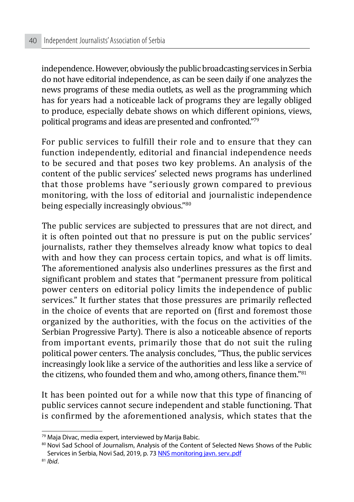independence. However, obviously the public broadcasting services in Serbia do not have editorial independence, as can be seen daily if one analyzes the news programs of these media outlets, as well as the programming which has for years had a noticeable lack of programs they are legally obliged to produce, especially debate shows on which different opinions, views, political programs and ideas are presented and confronted."79

For public services to fulfill their role and to ensure that they can function independently, editorial and financial independence needs to be secured and that poses two key problems. An analysis of the content of the public services' selected news programs has underlined that those problems have "seriously grown compared to previous monitoring, with the loss of editorial and journalistic independence being especially increasingly obvious."<sup>80</sup>

The public services are subjected to pressures that are not direct, and it is often pointed out that no pressure is put on the public services' journalists, rather they themselves already know what topics to deal with and how they can process certain topics, and what is off limits. The aforementioned analysis also underlines pressures as the first and significant problem and states that "permanent pressure from political power centers on editorial policy limits the independence of public services." It further states that those pressures are primarily reflected in the choice of events that are reported on (first and foremost those organized by the authorities, with the focus on the activities of the Serbian Progressive Party). There is also a noticeable absence of reports from important events, primarily those that do not suit the ruling political power centers. The analysis concludes, "Thus, the public services increasingly look like a service of the authorities and less like a service of the citizens, who founded them and who, among others, finance them."81

It has been pointed out for a while now that this type of financing of public services cannot secure independent and stable functioning. That is confirmed by the aforementioned analysis, which states that the

<sup>79</sup> Maja Divac, media expert, interviewed by Marija Babic.

<sup>80</sup> Novi Sad School of Journalism, Analysis of the Content of Selected News Shows of the Public Services in Serbia, Novi Sad, 2019, p. 73 NNS monitoring javn. serv..pdf

<sup>81</sup> *Ibid*.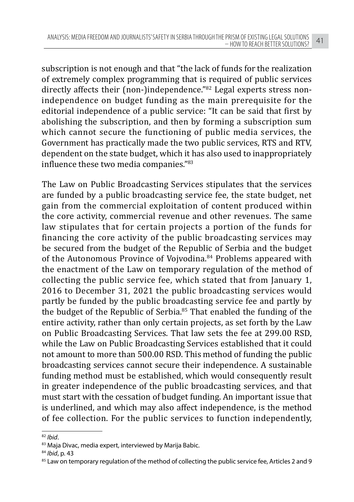subscription is not enough and that "the lack of funds for the realization of extremely complex programming that is required of public services directly affects their (non-)independence."<sup>82</sup> Legal experts stress nonindependence on budget funding as the main prerequisite for the editorial independence of a public service: "It can be said that first by abolishing the subscription, and then by forming a subscription sum which cannot secure the functioning of public media services, the Government has practically made the two public services, RTS and RTV, dependent on the state budget, which it has also used to inappropriately influence these two media companies."83

The Law on Public Broadcasting Services stipulates that the services are funded by a public broadcasting service fee, the state budget, net gain from the commercial exploitation of content produced within the core activity, commercial revenue and other revenues. The same law stipulates that for certain projects a portion of the funds for financing the core activity of the public broadcasting services may be secured from the budget of the Republic of Serbia and the budget of the Autonomous Province of Voivodina.<sup>84</sup> Problems appeared with the enactment of the Law on temporary regulation of the method of collecting the public service fee, which stated that from January 1, 2016 to December 31, 2021 the public broadcasting services would partly be funded by the public broadcasting service fee and partly by the budget of the Republic of Serbia.85 That enabled the funding of the entire activity, rather than only certain projects, as set forth by the Law on Public Broadcasting Services. That law sets the fee at 299.00 RSD, while the Law on Public Broadcasting Services established that it could not amount to more than 500.00 RSD. This method of funding the public broadcasting services cannot secure their independence. A sustainable funding method must be established, which would consequently result in greater independence of the public broadcasting services, and that must start with the cessation of budget funding. An important issue that is underlined, and which may also affect independence, is the method of fee collection. For the public services to function independently,

<sup>82</sup> *Ibid*.

<sup>83</sup> Maja Divac, media expert, interviewed by Marija Babic.

<sup>84</sup> *Ibid*, p. 43

<sup>85</sup> Law on temporary regulation of the method of collecting the public service fee, Articles 2 and 9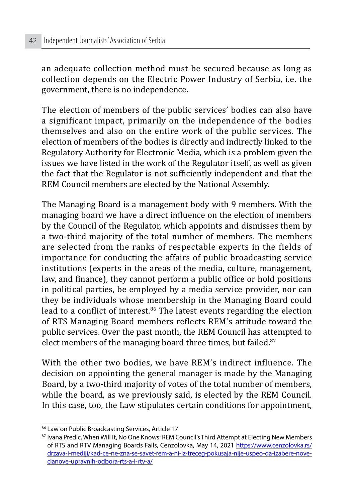an adequate collection method must be secured because as long as collection depends on the Electric Power Industry of Serbia, i.e. the government, there is no independence.

The election of members of the public services' bodies can also have a significant impact, primarily on the independence of the bodies themselves and also on the entire work of the public services. The election of members of the bodies is directly and indirectly linked to the Regulatory Authority for Electronic Media, which is a problem given the issues we have listed in the work of the Regulator itself, as well as given the fact that the Regulator is not sufficiently independent and that the REM Council members are elected by the National Assembly.

The Managing Board is a management body with 9 members. With the managing board we have a direct influence on the election of members by the Council of the Regulator, which appoints and dismisses them by a two-third majority of the total number of members. The members are selected from the ranks of respectable experts in the fields of importance for conducting the affairs of public broadcasting service institutions (experts in the areas of the media, culture, management, law, and finance), they cannot perform a public office or hold positions in political parties, be employed by a media service provider, nor can they be individuals whose membership in the Managing Board could lead to a conflict of interest.<sup>86</sup> The latest events regarding the election of RTS Managing Board members reflects REM's attitude toward the public services. Over the past month, the REM Council has attempted to elect members of the managing board three times, but failed.<sup>87</sup>

With the other two bodies, we have REM's indirect influence. The decision on appointing the general manager is made by the Managing Board, by a two-third majority of votes of the total number of members, while the board, as we previously said, is elected by the REM Council. In this case, too, the Law stipulates certain conditions for appointment,

<sup>86</sup> Law on Public Broadcasting Services, Article 17

<sup>87</sup> Ivana Predic, When Will It, No One Knows: REM Council's Third Attempt at Electing New Members of RTS and RTV Managing Boards Fails, Cenzolovka, May 14, 2021 https://www.cenzolovka.rs/ drzava-i-mediji/kad-ce-ne-zna-se-savet-rem-a-ni-iz-treceg-pokusaja-nije-uspeo-da-izabere-noveclanove-upravnih-odbora-rts-a-i-rtv-a/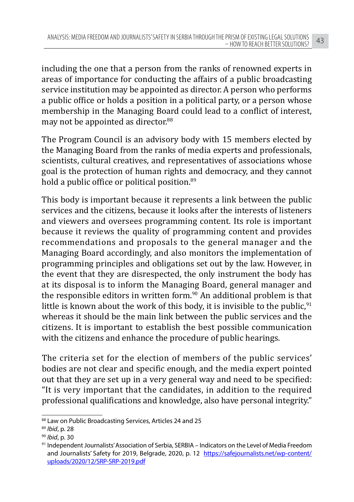including the one that a person from the ranks of renowned experts in areas of importance for conducting the affairs of a public broadcasting service institution may be appointed as director. A person who performs a public office or holds a position in a political party, or a person whose membership in the Managing Board could lead to a conflict of interest, may not be appointed as director.<sup>88</sup>

The Program Council is an advisory body with 15 members elected by the Managing Board from the ranks of media experts and professionals, scientists, cultural creatives, and representatives of associations whose goal is the protection of human rights and democracy, and they cannot hold a public office or political position.<sup>89</sup>

This body is important because it represents a link between the public services and the citizens, because it looks after the interests of listeners and viewers and oversees programming content. Its role is important because it reviews the quality of programming content and provides recommendations and proposals to the general manager and the Managing Board accordingly, and also monitors the implementation of programming principles and obligations set out by the law. However, in the event that they are disrespected, the only instrument the body has at its disposal is to inform the Managing Board, general manager and the responsible editors in written form. $90$  An additional problem is that little is known about the work of this body, it is invisible to the public,  $91$ whereas it should be the main link between the public services and the citizens. It is important to establish the best possible communication with the citizens and enhance the procedure of public hearings.

The criteria set for the election of members of the public services' bodies are not clear and specific enough, and the media expert pointed out that they are set up in a very general way and need to be specified: "It is very important that the candidates, in addition to the required professional qualifications and knowledge, also have personal integrity."

<sup>88</sup> Law on Public Broadcasting Services, Articles 24 and 25

<sup>89</sup> *Ibid*, p. 28

<sup>90</sup> *Ibid*, p. 30

<sup>91</sup> Independent Journalists' Association of Serbia, SERBIA – Indicators on the Level of Media Freedom and Journalists' Safety for 2019, Belgrade, 2020, p. 12 https://safejournalists.net/wp-content/ uploads/2020/12/SRP-SRP-2019.pdf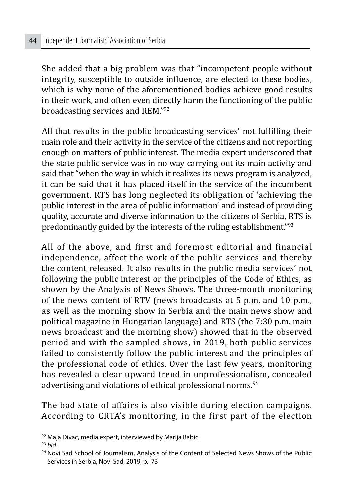She added that a big problem was that "incompetent people without integrity, susceptible to outside influence, are elected to these bodies, which is why none of the aforementioned bodies achieve good results in their work, and often even directly harm the functioning of the public broadcasting services and REM."<sup>92</sup>

All that results in the public broadcasting services' not fulfilling their main role and their activity in the service of the citizens and not reporting enough on matters of public interest. The media expert underscored that the state public service was in no way carrying out its main activity and said that "when the way in which it realizes its news program is analyzed, it can be said that it has placed itself in the service of the incumbent government. RTS has long neglected its obligation of 'achieving the public interest in the area of public information' and instead of providing quality, accurate and diverse information to the citizens of Serbia, RTS is predominantly guided by the interests of the ruling establishment."93

All of the above, and first and foremost editorial and financial independence, affect the work of the public services and thereby the content released. It also results in the public media services' not following the public interest or the principles of the Code of Ethics, as shown by the Analysis of News Shows. The three-month monitoring of the news content of RTV (news broadcasts at 5 p.m. and 10 p.m., as well as the morning show in Serbia and the main news show and political magazine in Hungarian language) and RTS (the 7:30 p.m. main news broadcast and the morning show) showed that in the observed period and with the sampled shows, in 2019, both public services failed to consistently follow the public interest and the principles of the professional code of ethics. Over the last few years, monitoring has revealed a clear upward trend in unprofessionalism, concealed advertising and violations of ethical professional norms.<sup>94</sup>

The bad state of affairs is also visible during election campaigns. According to CRTA's monitoring, in the first part of the election

<sup>92</sup> Maja Divac, media expert, interviewed by Marija Babic.

<sup>93</sup> *bid*.

<sup>94</sup> Novi Sad School of Journalism, Analysis of the Content of Selected News Shows of the Public Services in Serbia, Novi Sad, 2019, p. 73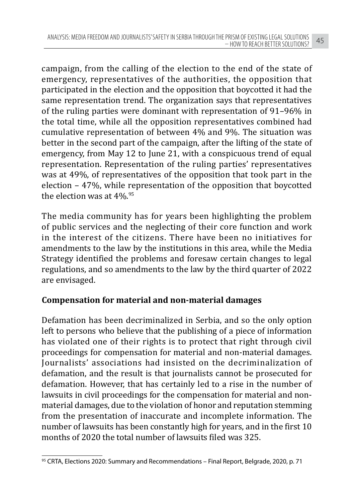campaign, from the calling of the election to the end of the state of emergency, representatives of the authorities, the opposition that participated in the election and the opposition that boycotted it had the same representation trend. The organization says that representatives of the ruling parties were dominant with representation of 91–96% in the total time, while all the opposition representatives combined had cumulative representation of between 4% and 9%. The situation was better in the second part of the campaign, after the lifting of the state of emergency, from May 12 to June 21, with a conspicuous trend of equal representation. Representation of the ruling parties' representatives was at 49%, of representatives of the opposition that took part in the election – 47%, while representation of the opposition that boycotted the election was at 4%.<sup>95</sup>

The media community has for years been highlighting the problem of public services and the neglecting of their core function and work in the interest of the citizens. There have been no initiatives for amendments to the law by the institutions in this area, while the Media Strategy identified the problems and foresaw certain changes to legal regulations, and so amendments to the law by the third quarter of 2022 are envisaged.

## **Compensation for material and non-material damages**

Defamation has been decriminalized in Serbia, and so the only option left to persons who believe that the publishing of a piece of information has violated one of their rights is to protect that right through civil proceedings for compensation for material and non-material damages. Journalists' associations had insisted on the decriminalization of defamation, and the result is that journalists cannot be prosecuted for defamation. However, that has certainly led to a rise in the number of lawsuits in civil proceedings for the compensation for material and nonmaterial damages, due to the violation of honor and reputation stemming from the presentation of inaccurate and incomplete information. The number of lawsuits has been constantly high for years, and in the first 10 months of 2020 the total number of lawsuits filed was 325.

<sup>95</sup> CRTA, Elections 2020: Summary and Recommendations - Final Report, Belgrade, 2020, p. 71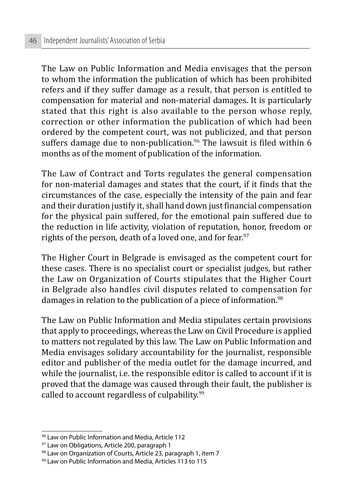The Law on Public Information and Media envisages that the person to whom the information the publication of which has been prohibited refers and if they suffer damage as a result, that person is entitled to compensation for material and non-material damages. It is particularly stated that this right is also available to the person whose reply, correction or other information the publication of which had been ordered by the competent court, was not publicized, and that person suffers damage due to non-publication.<sup>96</sup> The lawsuit is filed within 6 months as of the moment of publication of the information.

The Law of Contract and Torts regulates the general compensation for non-material damages and states that the court, if it finds that the circumstances of the case, especially the intensity of the pain and fear and their duration justify it, shall hand down just financial compensation for the physical pain suffered, for the emotional pain suffered due to the reduction in life activity, violation of reputation, honor, freedom or rights of the person, death of a loved one, and for fear.<sup>97</sup>

The Higher Court in Belgrade is envisaged as the competent court for these cases. There is no specialist court or specialist judges, but rather the Law on Organization of Courts stipulates that the Higher Court in Belgrade also handles civil disputes related to compensation for damages in relation to the publication of a piece of information.<sup>98</sup>

The Law on Public Information and Media stipulates certain provisions that apply to proceedings, whereas the Law on Civil Procedure is applied to matters not regulated by this law. The Law on Public Information and Media envisages solidary accountability for the journalist, responsible editor and publisher of the media outlet for the damage incurred, and while the journalist, i.e. the responsible editor is called to account if it is proved that the damage was caused through their fault, the publisher is called to account regardless of culpability.99

<sup>96</sup> Law on Public Information and Media, Article 112

<sup>97</sup> Law on Obligations, Article 200, paragraph 1

<sup>98</sup> Law on Organization of Courts, Article 23, paragraph 1, item 7

<sup>99</sup> Law on Public Information and Media, Articles 113 to 115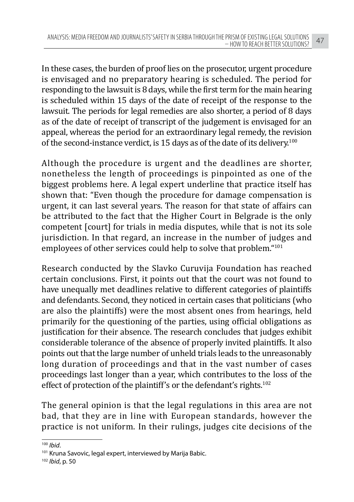In these cases, the burden of proof lies on the prosecutor, urgent procedure is envisaged and no preparatory hearing is scheduled. The period for responding to the lawsuit is 8 days, while the first term for the main hearing is scheduled within 15 days of the date of receipt of the response to the lawsuit. The periods for legal remedies are also shorter, a period of 8 days as of the date of receipt of transcript of the judgement is envisaged for an appeal, whereas the period for an extraordinary legal remedy, the revision of the second-instance verdict, is 15 days as of the date of its delivery.100

Although the procedure is urgent and the deadlines are shorter, nonetheless the length of proceedings is pinpointed as one of the biggest problems here. A legal expert underline that practice itself has shown that: "Even though the procedure for damage compensation is urgent, it can last several years. The reason for that state of affairs can be attributed to the fact that the Higher Court in Belgrade is the only competent [court] for trials in media disputes, while that is not its sole jurisdiction. In that regard, an increase in the number of judges and employees of other services could help to solve that problem."<sup>101</sup>

Research conducted by the Slavko Curuvija Foundation has reached certain conclusions. First, it points out that the court was not found to have unequally met deadlines relative to different categories of plaintiffs and defendants. Second, they noticed in certain cases that politicians (who are also the plaintiffs) were the most absent ones from hearings, held primarily for the questioning of the parties, using official obligations as justification for their absence. The research concludes that judges exhibit considerable tolerance of the absence of properly invited plaintiffs. It also points out that the large number of unheld trials leads to the unreasonably long duration of proceedings and that in the vast number of cases proceedings last longer than a year, which contributes to the loss of the effect of protection of the plaintiff's or the defendant's rights.<sup>102</sup>

The general opinion is that the legal regulations in this area are not bad, that they are in line with European standards, however the practice is not uniform. In their rulings, judges cite decisions of the

<sup>100</sup> *Ibid*.

<sup>&</sup>lt;sup>101</sup> Kruna Savovic, legal expert, interviewed by Marija Babic.

<sup>102</sup> *Ibid*, p. 50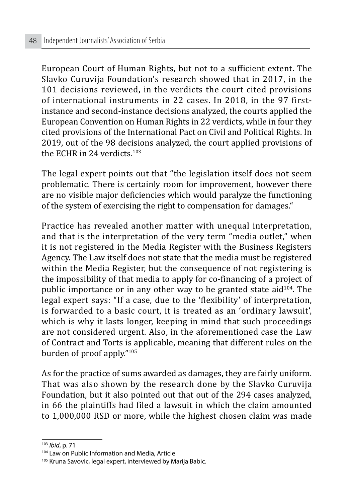European Court of Human Rights, but not to a sufficient extent. The Slavko Curuvija Foundation's research showed that in 2017, in the 101 decisions reviewed, in the verdicts the court cited provisions of international instruments in 22 cases. In 2018, in the 97 firstinstance and second-instance decisions analyzed, the courts applied the European Convention on Human Rights in 22 verdicts, while in four they cited provisions of the International Pact on Civil and Political Rights. In 2019, out of the 98 decisions analyzed, the court applied provisions of the ECHR in 24 verdicts<sup>103</sup>

The legal expert points out that "the legislation itself does not seem problematic. There is certainly room for improvement, however there are no visible major deficiencies which would paralyze the functioning of the system of exercising the right to compensation for damages."

Practice has revealed another matter with unequal interpretation, and that is the interpretation of the very term "media outlet," when it is not registered in the Media Register with the Business Registers Agency. The Law itself does not state that the media must be registered within the Media Register, but the consequence of not registering is the impossibility of that media to apply for co-financing of a project of public importance or in any other way to be granted state aid $104$ . The legal expert says: "If a case, due to the 'flexibility' of interpretation, is forwarded to a basic court, it is treated as an 'ordinary lawsuit', which is why it lasts longer, keeping in mind that such proceedings are not considered urgent. Also, in the aforementioned case the Law of Contract and Torts is applicable, meaning that different rules on the burden of proof apply."<sup>105</sup>

As for the practice of sums awarded as damages, they are fairly uniform. That was also shown by the research done by the Slavko Curuvija Foundation, but it also pointed out that out of the 294 cases analyzed, in 66 the plaintiffs had filed a lawsuit in which the claim amounted to 1,000,000 RSD or more, while the highest chosen claim was made

<sup>103</sup> *Ibid*, p. 71

<sup>104</sup> Law on Public Information and Media, Article

<sup>&</sup>lt;sup>105</sup> Kruna Savovic, legal expert, interviewed by Marija Babic.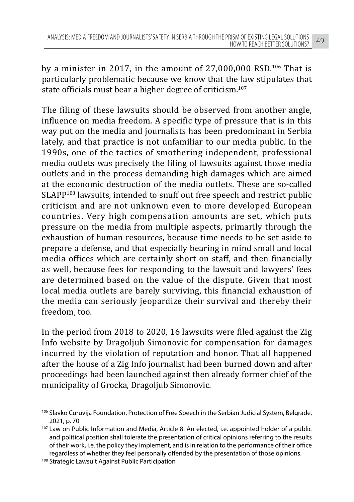by a minister in 2017, in the amount of  $27,000,000$  RSD.<sup>106</sup> That is particularly problematic because we know that the law stipulates that state officials must bear a higher degree of criticism.107

The filing of these lawsuits should be observed from another angle, influence on media freedom. A specific type of pressure that is in this way put on the media and journalists has been predominant in Serbia lately, and that practice is not unfamiliar to our media public. In the 1990s, one of the tactics of smothering independent, professional media outlets was precisely the filing of lawsuits against those media outlets and in the process demanding high damages which are aimed at the economic destruction of the media outlets. These are so-called SLAPP<sup>108</sup> lawsuits, intended to snuff out free speech and restrict public criticism and are not unknown even to more developed European countries. Very high compensation amounts are set, which puts pressure on the media from multiple aspects, primarily through the exhaustion of human resources, because time needs to be set aside to prepare a defense, and that especially bearing in mind small and local media offices which are certainly short on staff, and then financially as well, because fees for responding to the lawsuit and lawyers' fees are determined based on the value of the dispute. Given that most local media outlets are barely surviving, this financial exhaustion of the media can seriously jeopardize their survival and thereby their freedom, too.

In the period from 2018 to 2020, 16 lawsuits were filed against the Zig Info website by Dragoljub Simonovic for compensation for damages incurred by the violation of reputation and honor. That all happened after the house of a Zig Info journalist had been burned down and after proceedings had been launched against then already former chief of the municipality of Grocka, Dragoljub Simonovic.

<sup>106</sup> Slavko Curuvija Foundation, Protection of Free Speech in the Serbian Judicial System, Belgrade, 2021, p. 70

<sup>&</sup>lt;sup>107</sup> Law on Public Information and Media, Article 8: An elected, i.e. appointed holder of a public and political position shall tolerate the presentation of critical opinions referring to the results of their work, i.e. the policy they implement, and is in relation to the performance of their office regardless of whether they feel personally offended by the presentation of those opinions.

<sup>108</sup> Strategic Lawsuit Against Public Participation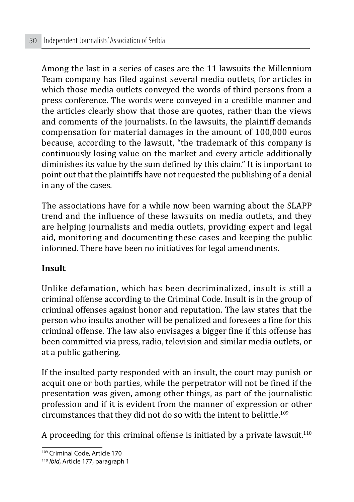Among the last in a series of cases are the 11 lawsuits the Millennium Team company has filed against several media outlets, for articles in which those media outlets conveyed the words of third persons from a press conference. The words were conveyed in a credible manner and the articles clearly show that those are quotes, rather than the views and comments of the journalists. In the lawsuits, the plaintiff demands compensation for material damages in the amount of 100,000 euros because, according to the lawsuit, "the trademark of this company is continuously losing value on the market and every article additionally diminishes its value by the sum defined by this claim." It is important to point out that the plaintiffs have not requested the publishing of a denial in any of the cases.

The associations have for a while now been warning about the SLAPP trend and the influence of these lawsuits on media outlets, and they are helping journalists and media outlets, providing expert and legal aid, monitoring and documenting these cases and keeping the public informed. There have been no initiatives for legal amendments.

#### **Insult**

Unlike defamation, which has been decriminalized, insult is still a criminal offense according to the Criminal Code. Insult is in the group of criminal offenses against honor and reputation. The law states that the person who insults another will be penalized and foresees a fine for this criminal offense. The law also envisages a bigger fine if this offense has been committed via press, radio, television and similar media outlets, or at a public gathering.

If the insulted party responded with an insult, the court may punish or acquit one or both parties, while the perpetrator will not be fined if the presentation was given, among other things, as part of the journalistic profession and if it is evident from the manner of expression or other circumstances that they did not do so with the intent to belittle.<sup>109</sup>

A proceeding for this criminal offense is initiated by a private lawsuit.<sup>110</sup>

<sup>109</sup> Criminal Code, Article 170

<sup>110</sup> *Ibid*, Article 177, paragraph 1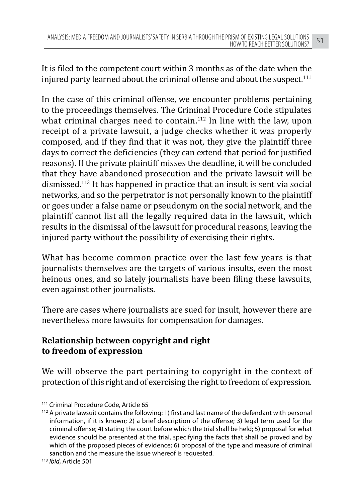It is filed to the competent court within 3 months as of the date when the injured party learned about the criminal offense and about the suspect.<sup>111</sup>

In the case of this criminal offense, we encounter problems pertaining to the proceedings themselves. The Criminal Procedure Code stipulates what criminal charges need to contain.<sup>112</sup> In line with the law, upon receipt of a private lawsuit, a judge checks whether it was properly composed, and if they find that it was not, they give the plaintiff three days to correct the deficiencies (they can extend that period for justified reasons). If the private plaintiff misses the deadline, it will be concluded that they have abandoned prosecution and the private lawsuit will be dismissed.113 It has happened in practice that an insult is sent via social networks, and so the perpetrator is not personally known to the plaintiff or goes under a false name or pseudonym on the social network, and the plaintiff cannot list all the legally required data in the lawsuit, which results in the dismissal of the lawsuit for procedural reasons, leaving the injured party without the possibility of exercising their rights.

What has become common practice over the last few years is that journalists themselves are the targets of various insults, even the most heinous ones, and so lately journalists have been filing these lawsuits, even against other journalists.

There are cases where journalists are sued for insult, however there are nevertheless more lawsuits for compensation for damages.

# **Relationship between copyright and right to freedom of expression**

We will observe the part pertaining to copyright in the context of protection of this right and of exercising the right to freedom of expression.

<sup>111</sup> Criminal Procedure Code, Article 65

<sup>112</sup> A private lawsuit contains the following: 1) first and last name of the defendant with personal information, if it is known; 2) a brief description of the offense; 3) legal term used for the criminal offense; 4) stating the court before which the trial shall be held; 5) proposal for what evidence should be presented at the trial, specifying the facts that shall be proved and by which of the proposed pieces of evidence; 6) proposal of the type and measure of criminal sanction and the measure the issue whereof is requested.

<sup>113</sup> *Ibid*, Article 501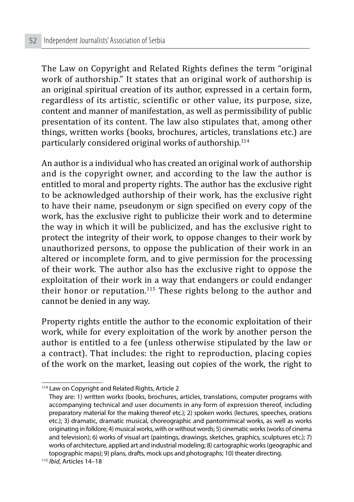The Law on Copyright and Related Rights defines the term "original work of authorship." It states that an original work of authorship is an original spiritual creation of its author, expressed in a certain form, regardless of its artistic, scientific or other value, its purpose, size, content and manner of manifestation, as well as permissibility of public presentation of its content. The law also stipulates that, among other things, written works (books, brochures, articles, translations etc.) are particularly considered original works of authorship.114

An author is a individual who has created an original work of authorship and is the copyright owner, and according to the law the author is entitled to moral and property rights. The author has the exclusive right to be acknowledged authorship of their work, has the exclusive right to have their name, pseudonym or sign specified on every copy of the work, has the exclusive right to publicize their work and to determine the way in which it will be publicized, and has the exclusive right to protect the integrity of their work, to oppose changes to their work by unauthorized persons, to oppose the publication of their work in an altered or incomplete form, and to give permission for the processing of their work. The author also has the exclusive right to oppose the exploitation of their work in a way that endangers or could endanger their honor or reputation.<sup>115</sup> These rights belong to the author and cannot be denied in any way.

Property rights entitle the author to the economic exploitation of their work, while for every exploitation of the work by another person the author is entitled to a fee (unless otherwise stipulated by the law or a contract). That includes: the right to reproduction, placing copies of the work on the market, leasing out copies of the work, the right to

<sup>&</sup>lt;sup>114</sup> Law on Copyright and Related Rights, Article 2

They are: 1) written works (books, brochures, articles, translations, computer programs with accompanying technical and user documents in any form of expression thereof, including preparatory material for the making thereof etc.); 2) spoken works (lectures, speeches, orations etc.); 3) dramatic, dramatic musical, choreographic and pantomimical works, as well as works originating in folklore; 4) musical works, with or without words; 5) cinematic works (works of cinema and television); 6) works of visual art (paintings, drawings, sketches, graphics, sculptures etc.); 7) works of architecture, applied art and industrial modeling; 8) cartographic works (geographic and topographic maps); 9) plans, drafts, mock ups and photographs; 10) theater directing.

<sup>115</sup> *Ibid*, Articles 14–18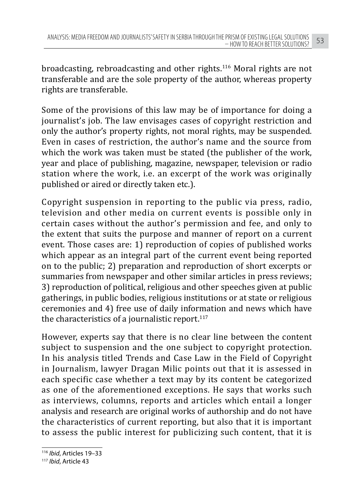broadcasting, rebroadcasting and other rights.116 Moral rights are not transferable and are the sole property of the author, whereas property rights are transferable.

Some of the provisions of this law may be of importance for doing a journalist's job. The law envisages cases of copyright restriction and only the author's property rights, not moral rights, may be suspended. Even in cases of restriction, the author's name and the source from which the work was taken must be stated (the publisher of the work, year and place of publishing, magazine, newspaper, television or radio station where the work, i.e. an excerpt of the work was originally published or aired or directly taken etc.).

Copyright suspension in reporting to the public via press, radio, television and other media on current events is possible only in certain cases without the author's permission and fee, and only to the extent that suits the purpose and manner of report on a current event. Those cases are: 1) reproduction of copies of published works which appear as an integral part of the current event being reported on to the public; 2) preparation and reproduction of short excerpts or summaries from newspaper and other similar articles in press reviews; 3) reproduction of political, religious and other speeches given at public gatherings, in public bodies, religious institutions or at state or religious ceremonies and 4) free use of daily information and news which have the characteristics of a journalistic report. $117$ 

However, experts say that there is no clear line between the content subject to suspension and the one subject to copyright protection. In his analysis titled Trends and Case Law in the Field of Copyright in Journalism, lawyer Dragan Milic points out that it is assessed in each specific case whether a text may by its content be categorized as one of the aforementioned exceptions. He says that works such as interviews, columns, reports and articles which entail a longer analysis and research are original works of authorship and do not have the characteristics of current reporting, but also that it is important to assess the public interest for publicizing such content, that it is

<sup>116</sup> *Ibid*, Articles 19–33

<sup>117</sup> *Ibid*, Article 43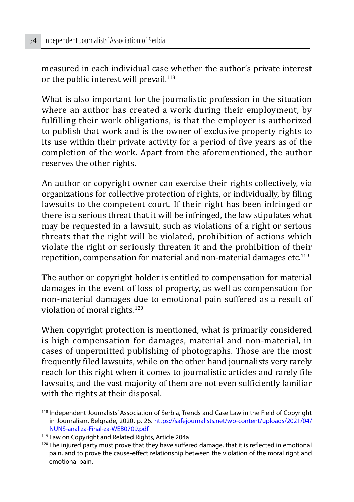measured in each individual case whether the author's private interest or the public interest will prevail. $118$ 

What is also important for the journalistic profession in the situation where an author has created a work during their employment, by fulfilling their work obligations, is that the employer is authorized to publish that work and is the owner of exclusive property rights to its use within their private activity for a period of five years as of the completion of the work. Apart from the aforementioned, the author reserves the other rights.

An author or copyright owner can exercise their rights collectively, via organizations for collective protection of rights, or individually, by filing lawsuits to the competent court. If their right has been infringed or there is a serious threat that it will be infringed, the law stipulates what may be requested in a lawsuit, such as violations of a right or serious threats that the right will be violated, prohibition of actions which violate the right or seriously threaten it and the prohibition of their repetition, compensation for material and non-material damages etc.119

The author or copyright holder is entitled to compensation for material damages in the event of loss of property, as well as compensation for non-material damages due to emotional pain suffered as a result of violation of moral rights.120

When copyright protection is mentioned, what is primarily considered is high compensation for damages, material and non-material, in cases of unpermitted publishing of photographs. Those are the most frequently filed lawsuits, while on the other hand journalists very rarely reach for this right when it comes to journalistic articles and rarely file lawsuits, and the vast majority of them are not even sufficiently familiar with the rights at their disposal.

<sup>118</sup> Independent Journalists' Association of Serbia, Trends and Case Law in the Field of Copyright in Journalism, Belgrade, 2020, p. 26. https://safejournalists.net/wp-content/uploads/2021/04/ NUNS-analiza-Final-za-WEB0709.pdf

<sup>119</sup> Law on Copyright and Related Rights, Article 204a

<sup>&</sup>lt;sup>120</sup> The injured party must prove that they have suffered damage, that it is reflected in emotional pain, and to prove the cause-effect relationship between the violation of the moral right and emotional pain.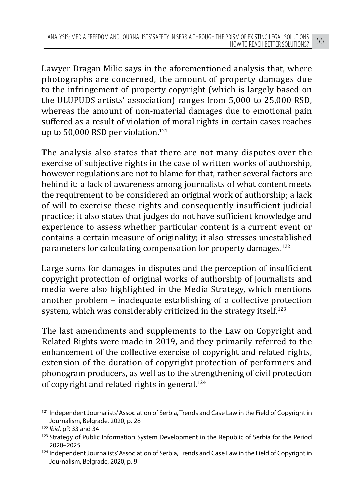Lawyer Dragan Milic says in the aforementioned analysis that, where photographs are concerned, the amount of property damages due to the infringement of property copyright (which is largely based on the ULUPUDS artists' association) ranges from 5,000 to 25,000 RSD, whereas the amount of non-material damages due to emotional pain suffered as a result of violation of moral rights in certain cases reaches up to 50,000 RSD per violation.<sup>121</sup>

The analysis also states that there are not many disputes over the exercise of subjective rights in the case of written works of authorship, however regulations are not to blame for that, rather several factors are behind it: a lack of awareness among journalists of what content meets the requirement to be considered an original work of authorship; a lack of will to exercise these rights and consequently insufficient judicial practice; it also states that judges do not have sufficient knowledge and experience to assess whether particular content is a current event or contains a certain measure of originality; it also stresses unestablished parameters for calculating compensation for property damages.122

Large sums for damages in disputes and the perception of insufficient copyright protection of original works of authorship of journalists and media were also highlighted in the Media Strategy, which mentions another problem – inadequate establishing of a collective protection system, which was considerably criticized in the strategy itself.<sup>123</sup>

The last amendments and supplements to the Law on Copyright and Related Rights were made in 2019, and they primarily referred to the enhancement of the collective exercise of copyright and related rights, extension of the duration of copyright protection of performers and phonogram producers, as well as to the strengthening of civil protection of copyright and related rights in general.<sup>124</sup>

<sup>&</sup>lt;sup>121</sup> Independent Journalists' Association of Serbia, Trends and Case Law in the Field of Copyright in Journalism, Belgrade, 2020, p. 28

<sup>122</sup> *Ibid*, pP. 33 and 34

<sup>&</sup>lt;sup>123</sup> Strategy of Public Information System Development in the Republic of Serbia for the Period 2020–2025

<sup>&</sup>lt;sup>124</sup> Independent Journalists' Association of Serbia, Trends and Case Law in the Field of Copyright in Journalism, Belgrade, 2020, p. 9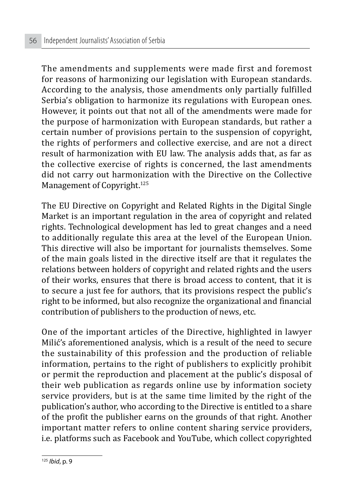The amendments and supplements were made first and foremost for reasons of harmonizing our legislation with European standards. According to the analysis, those amendments only partially fulfilled Serbia's obligation to harmonize its regulations with European ones. However, it points out that not all of the amendments were made for the purpose of harmonization with European standards, but rather a certain number of provisions pertain to the suspension of copyright, the rights of performers and collective exercise, and are not a direct result of harmonization with EU law. The analysis adds that, as far as the collective exercise of rights is concerned, the last amendments did not carry out harmonization with the Directive on the Collective Management of Copyright.<sup>125</sup>

The EU Directive on Copyright and Related Rights in the Digital Single Market is an important regulation in the area of copyright and related rights. Technological development has led to great changes and a need to additionally regulate this area at the level of the European Union. This directive will also be important for journalists themselves. Some of the main goals listed in the directive itself are that it regulates the relations between holders of copyright and related rights and the users of their works, ensures that there is broad access to content, that it is to secure a just fee for authors, that its provisions respect the public's right to be informed, but also recognize the organizational and financial contribution of publishers to the production of news, etc.

One of the important articles of the Directive, highlighted in lawyer Milić's aforementioned analysis, which is a result of the need to secure the sustainability of this profession and the production of reliable information, pertains to the right of publishers to explicitly prohibit or permit the reproduction and placement at the public's disposal of their web publication as regards online use by information society service providers, but is at the same time limited by the right of the publication's author, who according to the Directive is entitled to a share of the profit the publisher earns on the grounds of that right. Another important matter refers to online content sharing service providers, i.e. platforms such as Facebook and YouTube, which collect copyrighted

<sup>125</sup> *Ibid*, p. 9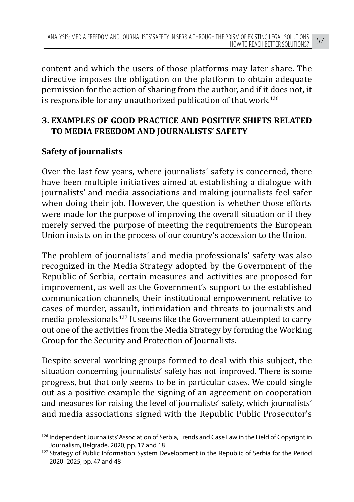content and which the users of those platforms may later share. The directive imposes the obligation on the platform to obtain adequate permission for the action of sharing from the author, and if it does not, it is responsible for any unauthorized publication of that work.<sup>126</sup>

## **3. EXAMPLES OF GOOD PRACTICE AND POSITIVE SHIFTS RELATED TO MEDIA FREEDOM AND JOURNALISTS' SAFETY**

#### **Safety of journalists**

Over the last few years, where journalists' safety is concerned, there have been multiple initiatives aimed at establishing a dialogue with journalists' and media associations and making journalists feel safer when doing their job. However, the question is whether those efforts were made for the purpose of improving the overall situation or if they merely served the purpose of meeting the requirements the European Union insists on in the process of our country's accession to the Union.

The problem of journalists' and media professionals' safety was also recognized in the Media Strategy adopted by the Government of the Republic of Serbia, certain measures and activities are proposed for improvement, as well as the Government's support to the established communication channels, their institutional empowerment relative to cases of murder, assault, intimidation and threats to journalists and media professionals.127 It seems like the Government attempted to carry out one of the activities from the Media Strategy by forming the Working Group for the Security and Protection of Journalists.

Despite several working groups formed to deal with this subject, the situation concerning journalists' safety has not improved. There is some progress, but that only seems to be in particular cases. We could single out as a positive example the signing of an agreement on cooperation and measures for raising the level of journalists' safety, which journalists' and media associations signed with the Republic Public Prosecutor's

<sup>&</sup>lt;sup>126</sup> Independent Journalists' Association of Serbia, Trends and Case Law in the Field of Copyright in Journalism, Belgrade, 2020, pp. 17 and 18<br><sup>127</sup> Strategy of Public Information System Development in the Republic of Serbia for the Period

<sup>2020–2025,</sup> pp. 47 and 48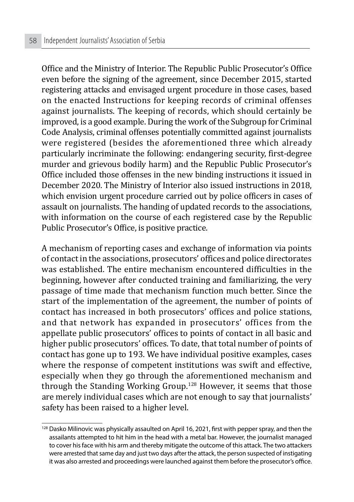Office and the Ministry of Interior. The Republic Public Prosecutor's Office even before the signing of the agreement, since December 2015, started registering attacks and envisaged urgent procedure in those cases, based on the enacted Instructions for keeping records of criminal offenses against journalists. The keeping of records, which should certainly be improved, is a good example. During the work of the Subgroup for Criminal Code Analysis, criminal offenses potentially committed against journalists were registered (besides the aforementioned three which already particularly incriminate the following: endangering security, first-degree murder and grievous bodily harm) and the Republic Public Prosecutor's Office included those offenses in the new binding instructions it issued in December 2020. The Ministry of Interior also issued instructions in 2018, which envision urgent procedure carried out by police officers in cases of assault on journalists. The handing of updated records to the associations, with information on the course of each registered case by the Republic Public Prosecutor's Office, is positive practice.

A mechanism of reporting cases and exchange of information via points of contact in the associations, prosecutors' offices and police directorates was established. The entire mechanism encountered difficulties in the beginning, however after conducted training and familiarizing, the very passage of time made that mechanism function much better. Since the start of the implementation of the agreement, the number of points of contact has increased in both prosecutors' offices and police stations, and that network has expanded in prosecutors' offices from the appellate public prosecutors' offices to points of contact in all basic and higher public prosecutors' offices. To date, that total number of points of contact has gone up to 193. We have individual positive examples, cases where the response of competent institutions was swift and effective, especially when they go through the aforementioned mechanism and through the Standing Working Group.<sup>128</sup> However, it seems that those are merely individual cases which are not enough to say that journalists' safety has been raised to a higher level.

<sup>&</sup>lt;sup>128</sup> Dasko Milinovic was physically assaulted on April 16, 2021, first with pepper spray, and then the assailants attempted to hit him in the head with a metal bar. However, the journalist managed to cover his face with his arm and thereby mitigate the outcome of this attack. The two attackers were arrested that same day and just two days after the attack, the person suspected of instigating it was also arrested and proceedings were launched against them before the prosecutor's office.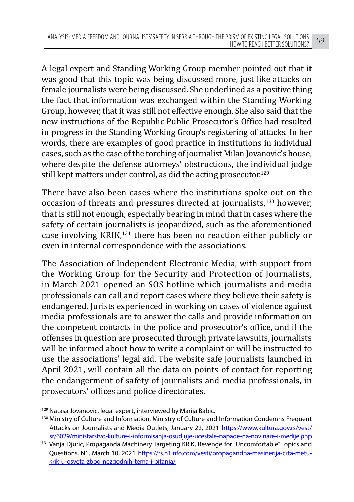A legal expert and Standing Working Group member pointed out that it was good that this topic was being discussed more, just like attacks on female journalists were being discussed. She underlined as a positive thing the fact that information was exchanged within the Standing Working Group, however, that it was still not effective enough. She also said that the new instructions of the Republic Public Prosecutor's Office had resulted in progress in the Standing Working Group's registering of attacks. In her words, there are examples of good practice in institutions in individual cases, such as the case of the torching of journalist Milan Jovanovic's house, where despite the defense attorneys' obstructions, the individual judge still kept matters under control, as did the acting prosecutor.<sup>129</sup>

There have also been cases where the institutions spoke out on the occasion of threats and pressures directed at journalists,130 however, that is still not enough, especially bearing in mind that in cases where the safety of certain journalists is jeopardized, such as the aforementioned case involving KRIK,131 there has been no reaction either publicly or even in internal correspondence with the associations.

The Association of Independent Electronic Media, with support from the Working Group for the Security and Protection of Journalists, in March 2021 opened an SOS hotline which journalists and media professionals can call and report cases where they believe their safety is endangered. Jurists experienced in working on cases of violence against media professionals are to answer the calls and provide information on the competent contacts in the police and prosecutor's office, and if the offenses in question are prosecuted through private lawsuits, journalists will be informed about how to write a complaint or will be instructed to use the associations' legal aid. The website safe journalists launched in April 2021, will contain all the data on points of contact for reporting the endangerment of safety of journalists and media professionals, in prosecutors' offices and police directorates.

<sup>&</sup>lt;sup>129</sup> Natasa Jovanovic, legal expert, interviewed by Marija Babic.

<sup>&</sup>lt;sup>130</sup> Ministry of Culture and Information, Ministry of Culture and Information Condemns Frequent Attacks on Journalists and Media Outlets, January 22, 2021 https://www.kultura.gov.rs/vest/ sr/6029/ministarstvo-kulture-i-informisanja-osudjuje-ucestale-napade-na-novinare-i-medije.php

<sup>131</sup> Vanja Djuric, Propaganda Machinery Targeting KRIK, Revenge for "Uncomfortable" Topics and Questions, N1, March 10, 2021 https://rs.n1info.com/vesti/propagandna-masinerija-crta-metukrik-u-osveta-zbog-nezgodnih-tema-i-pitanja/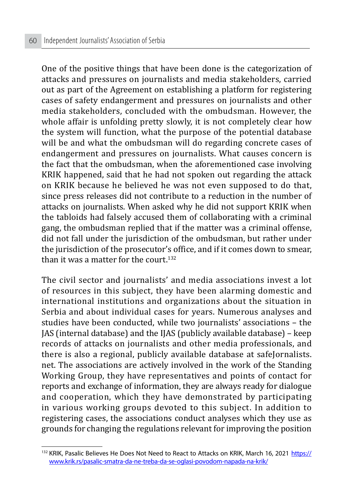One of the positive things that have been done is the categorization of attacks and pressures on journalists and media stakeholders, carried out as part of the Agreement on establishing a platform for registering cases of safety endangerment and pressures on journalists and other media stakeholders, concluded with the ombudsman. However, the whole affair is unfolding pretty slowly, it is not completely clear how the system will function, what the purpose of the potential database will be and what the ombudsman will do regarding concrete cases of endangerment and pressures on journalists. What causes concern is the fact that the ombudsman, when the aforementioned case involving KRIK happened, said that he had not spoken out regarding the attack on KRIK because he believed he was not even supposed to do that, since press releases did not contribute to a reduction in the number of attacks on journalists. When asked why he did not support KRIK when the tabloids had falsely accused them of collaborating with a criminal gang, the ombudsman replied that if the matter was a criminal offense, did not fall under the jurisdiction of the ombudsman, but rather under the jurisdiction of the prosecutor's office, and if it comes down to smear, than it was a matter for the court.<sup>132</sup>

The civil sector and journalists' and media associations invest a lot of resources in this subject, they have been alarming domestic and international institutions and organizations about the situation in Serbia and about individual cases for years. Numerous analyses and studies have been conducted, while two journalists' associations – the JAS (internal database) and the IJAS (publicly available database) – keep records of attacks on journalists and other media professionals, and there is also a regional, publicly available database at safeJornalists. net. The associations are actively involved in the work of the Standing Working Group, they have representatives and points of contact for reports and exchange of information, they are always ready for dialogue and cooperation, which they have demonstrated by participating in various working groups devoted to this subject. In addition to registering cases, the associations conduct analyses which they use as grounds for changing the regulations relevant for improving the position

<sup>&</sup>lt;sup>132</sup> KRIK, Pasalic Believes He Does Not Need to React to Attacks on KRIK, March 16, 2021 https:// www.krik.rs/pasalic-smatra-da-ne-treba-da-se-oglasi-povodom-napada-na-krik/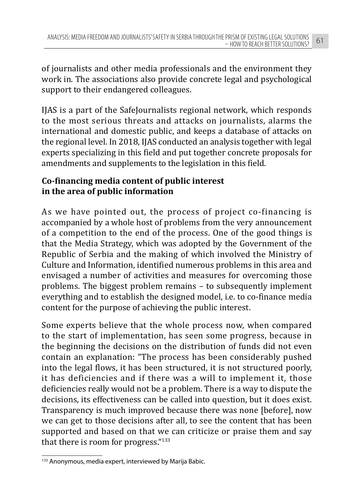of journalists and other media professionals and the environment they work in. The associations also provide concrete legal and psychological support to their endangered colleagues.

IJAS is a part of the SafeJournalists regional network, which responds to the most serious threats and attacks on journalists, alarms the international and domestic public, and keeps a database of attacks on the regional level. In 2018, IJAS conducted an analysis together with legal experts specializing in this field and put together concrete proposals for amendments and supplements to the legislation in this field.

## **Co-financing media content of public interest in the area of public information**

As we have pointed out, the process of project co-financing is accompanied by a whole host of problems from the very announcement of a competition to the end of the process. One of the good things is that the Media Strategy, which was adopted by the Government of the Republic of Serbia and the making of which involved the Ministry of Culture and Information, identified numerous problems in this area and envisaged a number of activities and measures for overcoming those problems. The biggest problem remains – to subsequently implement everything and to establish the designed model, i.e. to co-finance media content for the purpose of achieving the public interest.

Some experts believe that the whole process now, when compared to the start of implementation, has seen some progress, because in the beginning the decisions on the distribution of funds did not even contain an explanation: "The process has been considerably pushed into the legal flows, it has been structured, it is not structured poorly, it has deficiencies and if there was a will to implement it, those deficiencies really would not be a problem. There is a way to dispute the decisions, its effectiveness can be called into question, but it does exist. Transparency is much improved because there was none [before], now we can get to those decisions after all, to see the content that has been supported and based on that we can criticize or praise them and say that there is room for progress."<sup>133</sup>

<sup>133</sup> Anonymous, media expert, interviewed by Marija Babic.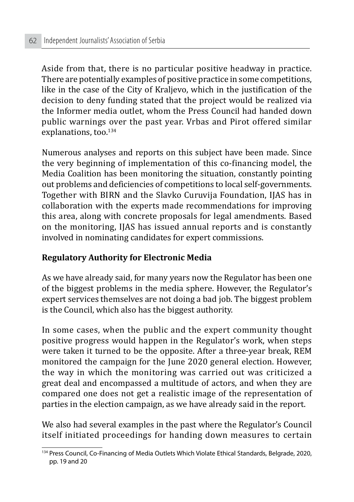Aside from that, there is no particular positive headway in practice. There are potentially examples of positive practice in some competitions, like in the case of the City of Kraljevo, which in the justification of the decision to deny funding stated that the project would be realized via the Informer media outlet, whom the Press Council had handed down public warnings over the past year. Vrbas and Pirot offered similar explanations, too.<sup>134</sup>

Numerous analyses and reports on this subject have been made. Since the very beginning of implementation of this co-financing model, the Media Coalition has been monitoring the situation, constantly pointing out problems and deficiencies of competitions to local self-governments. Together with BIRN and the Slavko Curuvija Foundation, IJAS has in collaboration with the experts made recommendations for improving this area, along with concrete proposals for legal amendments. Based on the monitoring, IJAS has issued annual reports and is constantly involved in nominating candidates for expert commissions.

#### **Regulatory Authority for Electronic Media**

As we have already said, for many years now the Regulator has been one of the biggest problems in the media sphere. However, the Regulator's expert services themselves are not doing a bad job. The biggest problem is the Council, which also has the biggest authority.

In some cases, when the public and the expert community thought positive progress would happen in the Regulator's work, when steps were taken it turned to be the opposite. After a three-year break, REM monitored the campaign for the June 2020 general election. However, the way in which the monitoring was carried out was criticized a great deal and encompassed a multitude of actors, and when they are compared one does not get a realistic image of the representation of parties in the election campaign, as we have already said in the report.

We also had several examples in the past where the Regulator's Council itself initiated proceedings for handing down measures to certain

<sup>&</sup>lt;sup>134</sup> Press Council, Co-Financing of Media Outlets Which Violate Ethical Standards, Belgrade, 2020, pp. 19 and 20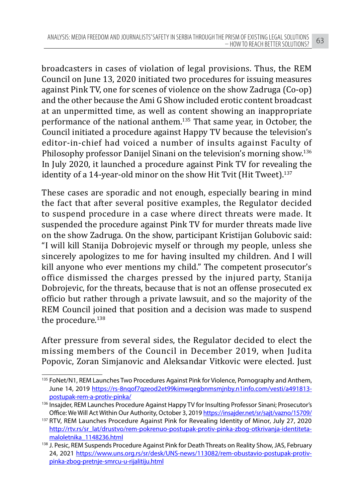broadcasters in cases of violation of legal provisions. Thus, the REM Council on June 13, 2020 initiated two procedures for issuing measures against Pink TV, one for scenes of violence on the show Zadruga (Co-op) and the other because the Ami G Show included erotic content broadcast at an unpermitted time, as well as content showing an inappropriate performance of the national anthem.135 That same year, in October, the Council initiated a procedure against Happy TV because the television's editor-in-chief had voiced a number of insults against Faculty of Philosophy professor Danijel Sinani on the television's morning show.<sup>136</sup> In July 2020, it launched a procedure against Pink TV for revealing the identity of a 14-year-old minor on the show Hit Tvit (Hit Tweet).<sup>137</sup>

These cases are sporadic and not enough, especially bearing in mind the fact that after several positive examples, the Regulator decided to suspend procedure in a case where direct threats were made. It suspended the procedure against Pink TV for murder threats made live on the show Zadruga. On the show, participant Kristijan Golubovic said: "I will kill Stanija Dobrojevic myself or through my people, unless she sincerely apologizes to me for having insulted my children. And I will kill anyone who ever mentions my child." The competent prosecutor's office dismissed the charges pressed by the injured party, Stanija Dobrojevic, for the threats, because that is not an offense prosecuted ex officio but rather through a private lawsuit, and so the majority of the REM Council joined that position and a decision was made to suspend the procedure.<sup>138</sup>

After pressure from several sides, the Regulator decided to elect the missing members of the Council in December 2019, when Judita Popovic, Zoran Simjanovic and Aleksandar Vitkovic were elected. Just

<sup>&</sup>lt;sup>135</sup> FoNet/N1, REM Launches Two Procedures Against Pink for Violence, Pornography and Anthem, June 14, 2019 https://rs-8nqof7qzeod2et99kimwqegbnmsmjnby.n1info.com/vesti/a491813 postupak-rem-a-protiv-pinka/

<sup>136</sup> Insaider. REM Launches Procedure Against Happy TV for Insulting Professor Sinani; Prosecutor's Office: We Will Act Within Our Authority, October 3, 2019 https://insajder.net/sr/sajt/vazno/15709/

<sup>137</sup> RTV, REM Launches Procedure Against Pink for Revealing Identity of Minor, July 27, 2020 http://rtv.rs/sr\_lat/drustvo/rem-pokrenuo-postupak-protiv-pinka-zbog-otkrivanja-identitetamaloletnika\_1148236.html

<sup>138</sup> J. Pesic, REM Suspends Procedure Against Pink for Death Threats on Reality Show, JAS, February 24, 2021 https://www.uns.org.rs/sr/desk/UNS-news/113082/rem-obustavio-postupak-protivpinka-zbog-pretnje-smrcu-u-rijalitiju.html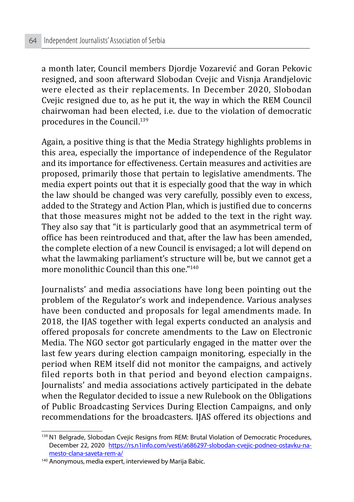a month later, Council members Djordje Vozarević and Goran Pekovic resigned, and soon afterward Slobodan Cvejic and Visnja Arandjelovic were elected as their replacements. In December 2020, Slobodan Cvejic resigned due to, as he put it, the way in which the REM Council chairwoman had been elected, i.e. due to the violation of democratic procedures in the Council.139

Again, a positive thing is that the Media Strategy highlights problems in this area, especially the importance of independence of the Regulator and its importance for effectiveness. Certain measures and activities are proposed, primarily those that pertain to legislative amendments. The media expert points out that it is especially good that the way in which the law should be changed was very carefully, possibly even to excess, added to the Strategy and Action Plan, which is justified due to concerns that those measures might not be added to the text in the right way. They also say that "it is particularly good that an asymmetrical term of office has been reintroduced and that, after the law has been amended, the complete election of a new Council is envisaged; a lot will depend on what the lawmaking parliament's structure will be, but we cannot get a more monolithic Council than this one."<sup>140</sup>

Journalists' and media associations have long been pointing out the problem of the Regulator's work and independence. Various analyses have been conducted and proposals for legal amendments made. In 2018, the IJAS together with legal experts conducted an analysis and offered proposals for concrete amendments to the Law on Electronic Media. The NGO sector got particularly engaged in the matter over the last few years during election campaign monitoring, especially in the period when REM itself did not monitor the campaigns, and actively filed reports both in that period and beyond election campaigns. Journalists' and media associations actively participated in the debate when the Regulator decided to issue a new Rulebook on the Obligations of Public Broadcasting Services During Election Campaigns, and only recommendations for the broadcasters. IJAS offered its objections and

<sup>&</sup>lt;sup>139</sup> N1 Belgrade, Slobodan Cvejic Resigns from REM: Brutal Violation of Democratic Procedures, December 22, 2020 https://rs.n1info.com/vesti/a686297-slobodan-cvejic-podneo-ostavku-namesto-clana-saveta-rem-a/

<sup>140</sup> Anonymous, media expert, interviewed by Marija Babic.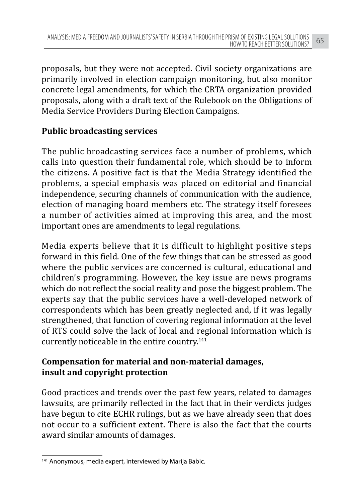proposals, but they were not accepted. Civil society organizations are primarily involved in election campaign monitoring, but also monitor concrete legal amendments, for which the CRTA organization provided proposals, along with a draft text of the Rulebook on the Obligations of Media Service Providers During Election Campaigns.

## **Public broadcasting services**

The public broadcasting services face a number of problems, which calls into question their fundamental role, which should be to inform the citizens. A positive fact is that the Media Strategy identified the problems, a special emphasis was placed on editorial and financial independence, securing channels of communication with the audience, election of managing board members etc. The strategy itself foresees a number of activities aimed at improving this area, and the most important ones are amendments to legal regulations.

Media experts believe that it is difficult to highlight positive steps forward in this field. One of the few things that can be stressed as good where the public services are concerned is cultural, educational and children's programming. However, the key issue are news programs which do not reflect the social reality and pose the biggest problem. The experts say that the public services have a well-developed network of correspondents which has been greatly neglected and, if it was legally strengthened, that function of covering regional information at the level of RTS could solve the lack of local and regional information which is currently noticeable in the entire country.<sup>141</sup>

# **Compensation for material and non-material damages, insult and copyright protection**

Good practices and trends over the past few years, related to damages lawsuits, are primarily reflected in the fact that in their verdicts judges have begun to cite ECHR rulings, but as we have already seen that does not occur to a sufficient extent. There is also the fact that the courts award similar amounts of damages.

<sup>141</sup> Anonymous, media expert, interviewed by Marija Babic.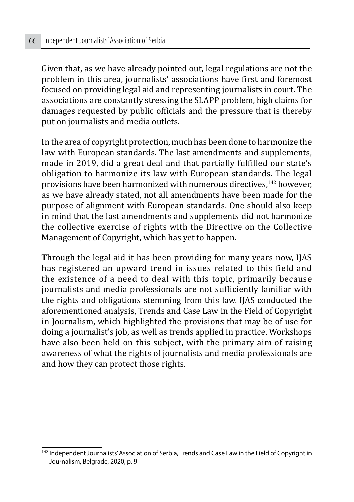Given that, as we have already pointed out, legal regulations are not the problem in this area, journalists' associations have first and foremost focused on providing legal aid and representing journalists in court. The associations are constantly stressing the SLAPP problem, high claims for damages requested by public officials and the pressure that is thereby put on journalists and media outlets.

In the area of copyright protection, much has been done to harmonize the law with European standards. The last amendments and supplements, made in 2019, did a great deal and that partially fulfilled our state's obligation to harmonize its law with European standards. The legal provisions have been harmonized with numerous directives,142 however, as we have already stated, not all amendments have been made for the purpose of alignment with European standards. One should also keep in mind that the last amendments and supplements did not harmonize the collective exercise of rights with the Directive on the Collective Management of Copyright, which has yet to happen.

Through the legal aid it has been providing for many years now, IJAS has registered an upward trend in issues related to this field and the existence of a need to deal with this topic, primarily because journalists and media professionals are not sufficiently familiar with the rights and obligations stemming from this law. IJAS conducted the aforementioned analysis, Trends and Case Law in the Field of Copyright in Journalism, which highlighted the provisions that may be of use for doing a journalist's job, as well as trends applied in practice. Workshops have also been held on this subject, with the primary aim of raising awareness of what the rights of journalists and media professionals are and how they can protect those rights.

<sup>&</sup>lt;sup>142</sup> Independent Journalists' Association of Serbia, Trends and Case Law in the Field of Copyright in Journalism, Belgrade, 2020, p. 9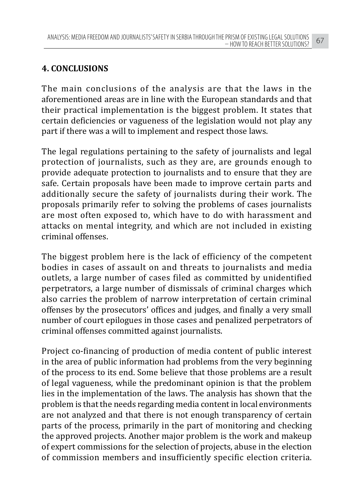# **4. CONCLUSIONS**

The main conclusions of the analysis are that the laws in the aforementioned areas are in line with the European standards and that their practical implementation is the biggest problem. It states that certain deficiencies or vagueness of the legislation would not play any part if there was a will to implement and respect those laws.

The legal regulations pertaining to the safety of journalists and legal protection of journalists, such as they are, are grounds enough to provide adequate protection to journalists and to ensure that they are safe. Certain proposals have been made to improve certain parts and additionally secure the safety of journalists during their work. The proposals primarily refer to solving the problems of cases journalists are most often exposed to, which have to do with harassment and attacks on mental integrity, and which are not included in existing criminal offenses.

The biggest problem here is the lack of efficiency of the competent bodies in cases of assault on and threats to journalists and media outlets, a large number of cases filed as committed by unidentified perpetrators, a large number of dismissals of criminal charges which also carries the problem of narrow interpretation of certain criminal offenses by the prosecutors' offices and judges, and finally a very small number of court epilogues in those cases and penalized perpetrators of criminal offenses committed against journalists.

Project co-financing of production of media content of public interest in the area of public information had problems from the very beginning of the process to its end. Some believe that those problems are a result of legal vagueness, while the predominant opinion is that the problem lies in the implementation of the laws. The analysis has shown that the problem is that the needs regarding media content in local environments are not analyzed and that there is not enough transparency of certain parts of the process, primarily in the part of monitoring and checking the approved projects. Another major problem is the work and makeup of expert commissions for the selection of projects, abuse in the election of commission members and insufficiently specific election criteria.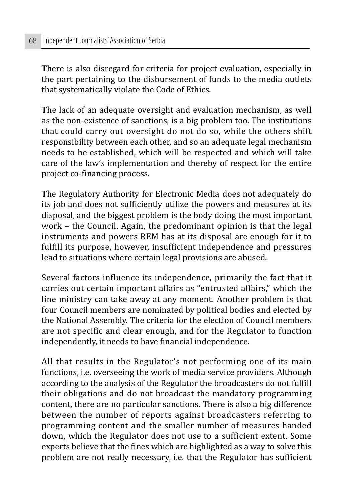There is also disregard for criteria for project evaluation, especially in the part pertaining to the disbursement of funds to the media outlets that systematically violate the Code of Ethics.

The lack of an adequate oversight and evaluation mechanism, as well as the non-existence of sanctions, is a big problem too. The institutions that could carry out oversight do not do so, while the others shift responsibility between each other, and so an adequate legal mechanism needs to be established, which will be respected and which will take care of the law's implementation and thereby of respect for the entire project co-financing process.

The Regulatory Authority for Electronic Media does not adequately do its job and does not sufficiently utilize the powers and measures at its disposal, and the biggest problem is the body doing the most important work – the Council. Again, the predominant opinion is that the legal instruments and powers REM has at its disposal are enough for it to fulfill its purpose, however, insufficient independence and pressures lead to situations where certain legal provisions are abused.

Several factors influence its independence, primarily the fact that it carries out certain important affairs as "entrusted affairs," which the line ministry can take away at any moment. Another problem is that four Council members are nominated by political bodies and elected by the National Assembly. The criteria for the election of Council members are not specific and clear enough, and for the Regulator to function independently, it needs to have financial independence.

All that results in the Regulator's not performing one of its main functions, i.e. overseeing the work of media service providers. Although according to the analysis of the Regulator the broadcasters do not fulfill their obligations and do not broadcast the mandatory programming content, there are no particular sanctions. There is also a big difference between the number of reports against broadcasters referring to programming content and the smaller number of measures handed down, which the Regulator does not use to a sufficient extent. Some experts believe that the fines which are highlighted as a way to solve this problem are not really necessary, i.e. that the Regulator has sufficient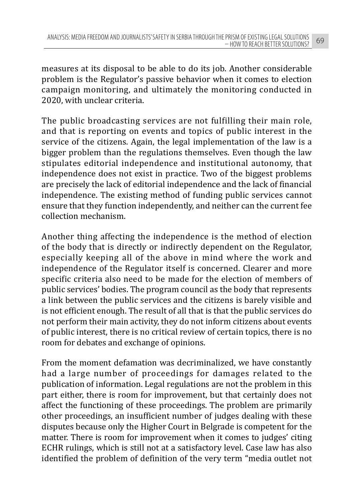measures at its disposal to be able to do its job. Another considerable problem is the Regulator's passive behavior when it comes to election campaign monitoring, and ultimately the monitoring conducted in 2020, with unclear criteria.

The public broadcasting services are not fulfilling their main role, and that is reporting on events and topics of public interest in the service of the citizens. Again, the legal implementation of the law is a bigger problem than the regulations themselves. Even though the law stipulates editorial independence and institutional autonomy, that independence does not exist in practice. Two of the biggest problems are precisely the lack of editorial independence and the lack of financial independence. The existing method of funding public services cannot ensure that they function independently, and neither can the current fee collection mechanism.

Another thing affecting the independence is the method of election of the body that is directly or indirectly dependent on the Regulator, especially keeping all of the above in mind where the work and independence of the Regulator itself is concerned. Clearer and more specific criteria also need to be made for the election of members of public services' bodies. The program council as the body that represents a link between the public services and the citizens is barely visible and is not efficient enough. The result of all that is that the public services do not perform their main activity, they do not inform citizens about events of public interest, there is no critical review of certain topics, there is no room for debates and exchange of opinions.

From the moment defamation was decriminalized, we have constantly had a large number of proceedings for damages related to the publication of information. Legal regulations are not the problem in this part either, there is room for improvement, but that certainly does not affect the functioning of these proceedings. The problem are primarily other proceedings, an insufficient number of judges dealing with these disputes because only the Higher Court in Belgrade is competent for the matter. There is room for improvement when it comes to judges' citing ECHR rulings, which is still not at a satisfactory level. Case law has also identified the problem of definition of the very term "media outlet not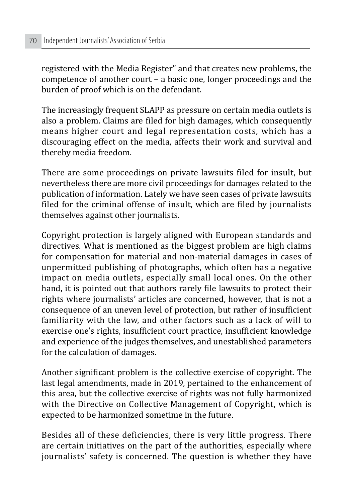registered with the Media Register" and that creates new problems, the competence of another court – a basic one, longer proceedings and the burden of proof which is on the defendant.

The increasingly frequent SLAPP as pressure on certain media outlets is also a problem. Claims are filed for high damages, which consequently means higher court and legal representation costs, which has a discouraging effect on the media, affects their work and survival and thereby media freedom.

There are some proceedings on private lawsuits filed for insult, but nevertheless there are more civil proceedings for damages related to the publication of information. Lately we have seen cases of private lawsuits filed for the criminal offense of insult, which are filed by journalists themselves against other journalists.

Copyright protection is largely aligned with European standards and directives. What is mentioned as the biggest problem are high claims for compensation for material and non-material damages in cases of unpermitted publishing of photographs, which often has a negative impact on media outlets, especially small local ones. On the other hand, it is pointed out that authors rarely file lawsuits to protect their rights where journalists' articles are concerned, however, that is not a consequence of an uneven level of protection, but rather of insufficient familiarity with the law, and other factors such as a lack of will to exercise one's rights, insufficient court practice, insufficient knowledge and experience of the judges themselves, and unestablished parameters for the calculation of damages.

Another significant problem is the collective exercise of copyright. The last legal amendments, made in 2019, pertained to the enhancement of this area, but the collective exercise of rights was not fully harmonized with the Directive on Collective Management of Copyright, which is expected to be harmonized sometime in the future.

Besides all of these deficiencies, there is very little progress. There are certain initiatives on the part of the authorities, especially where journalists' safety is concerned. The question is whether they have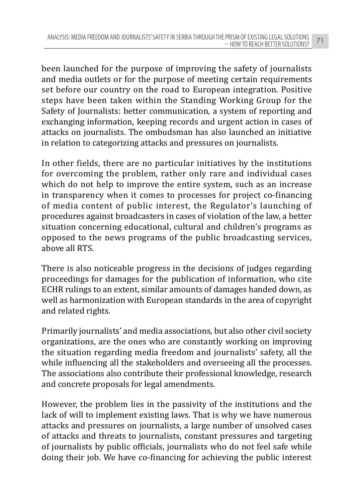been launched for the purpose of improving the safety of journalists and media outlets or for the purpose of meeting certain requirements set before our country on the road to European integration. Positive steps have been taken within the Standing Working Group for the Safety of Journalists: better communication, a system of reporting and exchanging information, keeping records and urgent action in cases of attacks on journalists. The ombudsman has also launched an initiative in relation to categorizing attacks and pressures on journalists.

In other fields, there are no particular initiatives by the institutions for overcoming the problem, rather only rare and individual cases which do not help to improve the entire system, such as an increase in transparency when it comes to processes for project co-financing of media content of public interest, the Regulator's launching of procedures against broadcasters in cases of violation of the law, a better situation concerning educational, cultural and children's programs as opposed to the news programs of the public broadcasting services, above all RTS.

There is also noticeable progress in the decisions of judges regarding proceedings for damages for the publication of information, who cite ECHR rulings to an extent, similar amounts of damages handed down, as well as harmonization with European standards in the area of copyright and related rights.

Primarily journalists' and media associations, but also other civil society organizations, are the ones who are constantly working on improving the situation regarding media freedom and journalists' safety, all the while influencing all the stakeholders and overseeing all the processes. The associations also contribute their professional knowledge, research and concrete proposals for legal amendments.

However, the problem lies in the passivity of the institutions and the lack of will to implement existing laws. That is why we have numerous attacks and pressures on journalists, a large number of unsolved cases of attacks and threats to journalists, constant pressures and targeting of journalists by public officials, journalists who do not feel safe while doing their job. We have co-financing for achieving the public interest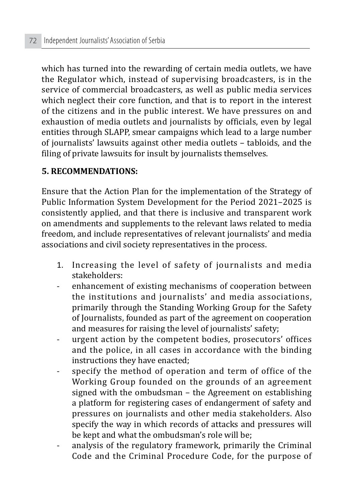which has turned into the rewarding of certain media outlets, we have the Regulator which, instead of supervising broadcasters, is in the service of commercial broadcasters, as well as public media services which neglect their core function, and that is to report in the interest of the citizens and in the public interest. We have pressures on and exhaustion of media outlets and journalists by officials, even by legal entities through SLAPP, smear campaigns which lead to a large number of journalists' lawsuits against other media outlets – tabloids, and the filing of private lawsuits for insult by journalists themselves.

#### **5. RECOMMENDATIONS:**

Ensure that the Action Plan for the implementation of the Strategy of Public Information System Development for the Period 2021–2025 is consistently applied, and that there is inclusive and transparent work on amendments and supplements to the relevant laws related to media freedom, and include representatives of relevant journalists' and media associations and civil society representatives in the process.

- 1. Increasing the level of safety of journalists and media stakeholders:
- enhancement of existing mechanisms of cooperation between the institutions and journalists' and media associations, primarily through the Standing Working Group for the Safety of Journalists, founded as part of the agreement on cooperation and measures for raising the level of journalists' safety;
- urgent action by the competent bodies, prosecutors' offices and the police, in all cases in accordance with the binding instructions they have enacted;
- specify the method of operation and term of office of the Working Group founded on the grounds of an agreement signed with the ombudsman – the Agreement on establishing a platform for registering cases of endangerment of safety and pressures on journalists and other media stakeholders. Also specify the way in which records of attacks and pressures will be kept and what the ombudsman's role will be;
- analysis of the regulatory framework, primarily the Criminal Code and the Criminal Procedure Code, for the purpose of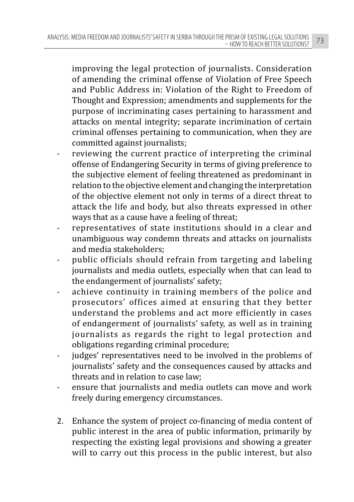improving the legal protection of journalists. Consideration of amending the criminal offense of Violation of Free Speech and Public Address in: Violation of the Right to Freedom of Thought and Expression; amendments and supplements for the purpose of incriminating cases pertaining to harassment and attacks on mental integrity; separate incrimination of certain criminal offenses pertaining to communication, when they are committed against journalists;

- reviewing the current practice of interpreting the criminal offense of Endangering Security in terms of giving preference to the subjective element of feeling threatened as predominant in relation to the objective element and changing the interpretation of the objective element not only in terms of a direct threat to attack the life and body, but also threats expressed in other ways that as a cause have a feeling of threat;
- representatives of state institutions should in a clear and unambiguous way condemn threats and attacks on journalists and media stakeholders;
- public officials should refrain from targeting and labeling journalists and media outlets, especially when that can lead to the endangerment of journalists' safety;
- achieve continuity in training members of the police and prosecutors' offices aimed at ensuring that they better understand the problems and act more efficiently in cases of endangerment of journalists' safety, as well as in training journalists as regards the right to legal protection and obligations regarding criminal procedure;
- judges' representatives need to be involved in the problems of journalists' safety and the consequences caused by attacks and threats and in relation to case law;
- ensure that journalists and media outlets can move and work freely during emergency circumstances.
- 2. Enhance the system of project co-financing of media content of public interest in the area of public information, primarily by respecting the existing legal provisions and showing a greater will to carry out this process in the public interest, but also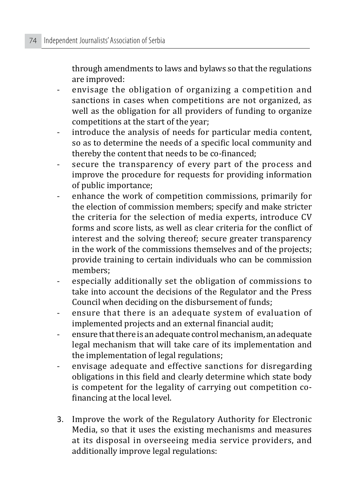through amendments to laws and bylaws so that the regulations are improved:

- envisage the obligation of organizing a competition and sanctions in cases when competitions are not organized, as well as the obligation for all providers of funding to organize competitions at the start of the year;
- introduce the analysis of needs for particular media content, so as to determine the needs of a specific local community and thereby the content that needs to be co-financed;
- secure the transparency of every part of the process and improve the procedure for requests for providing information of public importance;
- enhance the work of competition commissions, primarily for the election of commission members; specify and make stricter the criteria for the selection of media experts, introduce CV forms and score lists, as well as clear criteria for the conflict of interest and the solving thereof; secure greater transparency in the work of the commissions themselves and of the projects; provide training to certain individuals who can be commission members;
- especially additionally set the obligation of commissions to take into account the decisions of the Regulator and the Press Council when deciding on the disbursement of funds;
- ensure that there is an adequate system of evaluation of implemented projects and an external financial audit;
- ensure that there is an adequate control mechanism, an adequate legal mechanism that will take care of its implementation and the implementation of legal regulations;
- envisage adequate and effective sanctions for disregarding obligations in this field and clearly determine which state body is competent for the legality of carrying out competition cofinancing at the local level.
- 3. Improve the work of the Regulatory Authority for Electronic Media, so that it uses the existing mechanisms and measures at its disposal in overseeing media service providers, and additionally improve legal regulations: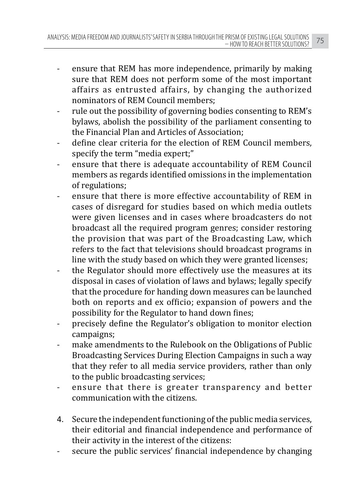- ensure that REM has more independence, primarily by making sure that REM does not perform some of the most important affairs as entrusted affairs, by changing the authorized nominators of REM Council members;
- rule out the possibility of governing bodies consenting to REM's bylaws, abolish the possibility of the parliament consenting to the Financial Plan and Articles of Association;
- define clear criteria for the election of REM Council members. specify the term "media expert;"
- ensure that there is adequate accountability of REM Council members as regards identified omissions in the implementation of regulations;
- ensure that there is more effective accountability of REM in cases of disregard for studies based on which media outlets were given licenses and in cases where broadcasters do not broadcast all the required program genres; consider restoring the provision that was part of the Broadcasting Law, which refers to the fact that televisions should broadcast programs in line with the study based on which they were granted licenses;
- the Regulator should more effectively use the measures at its disposal in cases of violation of laws and bylaws; legally specify that the procedure for handing down measures can be launched both on reports and ex officio; expansion of powers and the possibility for the Regulator to hand down fines;
- precisely define the Regulator's obligation to monitor election campaigns;
- make amendments to the Rulebook on the Obligations of Public Broadcasting Services During Election Campaigns in such a way that they refer to all media service providers, rather than only to the public broadcasting services;
- ensure that there is greater transparency and better communication with the citizens.
- 4. Secure the independent functioning of the public media services, their editorial and financial independence and performance of their activity in the interest of the citizens:
- secure the public services' financial independence by changing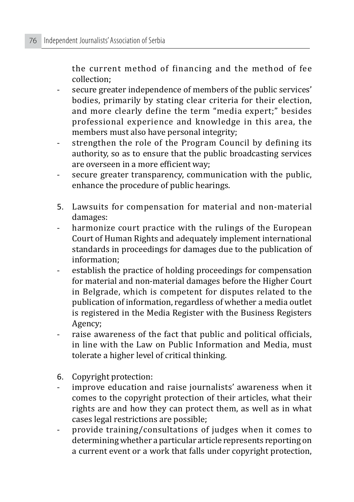the current method of financing and the method of fee collection;

- secure greater independence of members of the public services' bodies, primarily by stating clear criteria for their election, and more clearly define the term "media expert;" besides professional experience and knowledge in this area, the members must also have personal integrity;
- strengthen the role of the Program Council by defining its authority, so as to ensure that the public broadcasting services are overseen in a more efficient way;
- secure greater transparency, communication with the public, enhance the procedure of public hearings.
- 5. Lawsuits for compensation for material and non-material damages:
- harmonize court practice with the rulings of the European Court of Human Rights and adequately implement international standards in proceedings for damages due to the publication of information;
- establish the practice of holding proceedings for compensation for material and non-material damages before the Higher Court in Belgrade, which is competent for disputes related to the publication of information, regardless of whether a media outlet is registered in the Media Register with the Business Registers Agency;
- raise awareness of the fact that public and political officials, in line with the Law on Public Information and Media, must tolerate a higher level of critical thinking.
- 6. Copyright protection:
- improve education and raise journalists' awareness when it comes to the copyright protection of their articles, what their rights are and how they can protect them, as well as in what cases legal restrictions are possible;
- provide training/consultations of judges when it comes to determining whether a particular article represents reporting on a current event or a work that falls under copyright protection,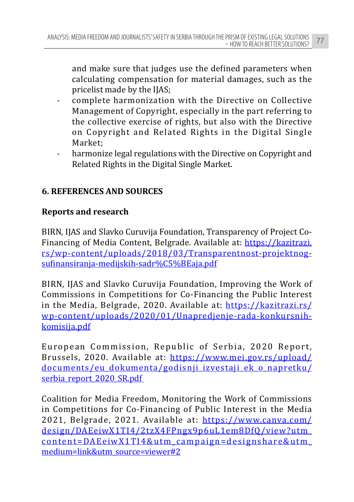and make sure that judges use the defined parameters when calculating compensation for material damages, such as the pricelist made by the IJAS;

- complete harmonization with the Directive on Collective Management of Copyright, especially in the part referring to the collective exercise of rights, but also with the Directive on Copyright and Related Rights in the Digital Single Market;
- harmonize legal regulations with the Directive on Copyright and Related Rights in the Digital Single Market.

## **6. REFERENCES AND SOURCES**

## **Reports and research**

BIRN, IJAS and Slavko Curuvija Foundation, Transparency of Project Co-Financing of Media Content, Belgrade. Available at: https://kazitrazi. rs/wp-content/uploads/2018/03/Transparentnost-projektnogsufinansiranja-medijskih-sadr%C5%BEaja.pdf

BIRN, IJAS and Slavko Curuvija Foundation, Improving the Work of Commissions in Competitions for Co-Financing the Public Interest in the Media, Belgrade, 2020. Available at: https://kazitrazi.rs/ wp-content/uploads/2020/01/Unapredjenje-rada-konkursnihkomisija.pdf

European Commission, Republic of Serbia, 2020 Report, Brussels, 2020. Available at: https://www.mei.gov.rs/upload/ documents/eu\_dokumenta/godisnji\_izvestaji\_ek\_o\_napretku/ serbia\_report\_2020\_SR.pdf

Coalition for Media Freedom, Monitoring the Work of Commissions in Competitions for Co-Financing of Public Interest in the Media 2021, Belgrade, 2021. Available at: https://www.canva.com/ design/DAEeiwX1TI4/2tzX4FPngx9p6uL1em8DfQ/view?utm\_ content=DAEeiwX1TI4&utm\_campaign=designshare&utm\_ medium=link&utm\_source=viewer#2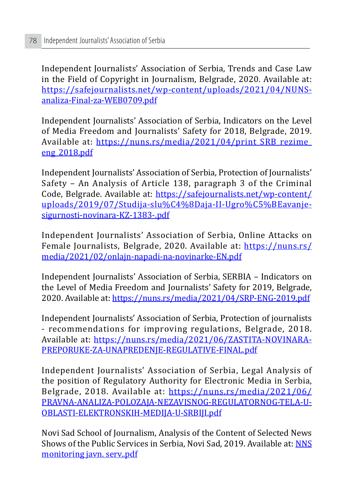Independent Journalists' Association of Serbia, Trends and Case Law in the Field of Copyright in Journalism, Belgrade, 2020. Available at: https://safejournalists.net/wp-content/uploads/2021/04/NUNSanaliza-Final-za-WEB0709.pdf

Independent Journalists' Association of Serbia, Indicators on the Level of Media Freedom and Journalists' Safety for 2018, Belgrade, 2019. Available at: https://nuns.rs/media/2021/04/print\_SRB\_rezime eng\_2018.pdf

Independent Journalists' Association of Serbia, Protection of Journalists' Safety – An Analysis of Article 138, paragraph 3 of the Criminal Code, Belgrade. Available at: https://safejournalists.net/wp-content/ uploads/2019/07/Studija-slu%C4%8Daja-II-Ugro%C5%BEavanjesigurnosti-novinara-KZ-1383-.pdf

Independent Journalists' Association of Serbia, Online Attacks on Female Journalists, Belgrade, 2020. Available at: https://nuns.rs/ media/2021/02/onlajn-napadi-na-novinarke-EN.pdf

Independent Journalists' Association of Serbia, SERBIA – Indicators on the Level of Media Freedom and Journalists' Safety for 2019, Belgrade, 2020. Available at: https://nuns.rs/media/2021/04/SRP-ENG-2019.pdf

Independent Journalists' Association of Serbia, Protection of journalists - recommendations for improving regulations, Belgrade, 2018. Available at: https://nuns.rs/media/2021/06/ZASTITA-NOVINARA-PREPORUKE-ZA-UNAPREDENJE-REGULATIVE-FINAL.pdf

Independent Journalists' Association of Serbia, Legal Analysis of the position of Regulatory Authority for Electronic Media in Serbia, Belgrade, 2018. Available at: https://nuns.rs/media/2021/06/ PRAVNA-ANALIZA-POLOZAJA-NEZAVISNOG-REGULATORNOG-TELA-U-OBLASTI-ELEKTRONSKIH-MEDIJA-U-SRBIJI.pdf

Novi Sad School of Journalism, Analysis of the Content of Selected News Shows of the Public Services in Serbia, Novi Sad, 2019. Available at: NNS monitoring javn. serv..pdf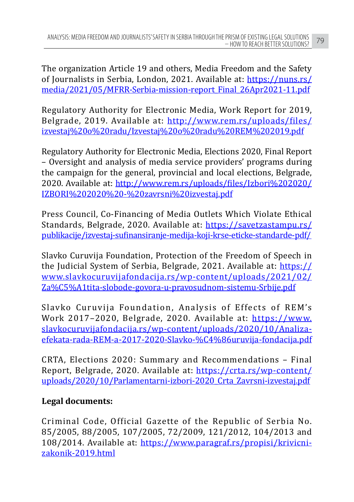The organization Article 19 and others, Media Freedom and the Safety of Journalists in Serbia, London, 2021. Available at: https://nuns.rs/ media/2021/05/MFRR-Serbia-mission-report\_Final\_26Apr2021-11.pdf

Regulatory Authority for Electronic Media, Work Report for 2019, Belgrade, 2019. Available at: http://www.rem.rs/uploads/files/ izvestaj%20o%20radu/Izvestaj%20o%20radu%20REM%202019.pdf

Regulatory Authority for Electronic Media, Elections 2020, Final Report – Oversight and analysis of media service providers' programs during the campaign for the general, provincial and local elections, Belgrade, 2020. Available at: http://www.rem.rs/uploads/files/Izbori%202020/ IZBORI%202020%20-%20zavrsni%20izvestaj.pdf

Press Council, Co-Financing of Media Outlets Which Violate Ethical Standards, Belgrade, 2020. Available at: https://savetzastampu.rs/ publikacije/izvestaj-sufinansiranje-medija-koji-krse-eticke-standarde-pdf/

Slavko Curuvija Foundation, Protection of the Freedom of Speech in the Judicial System of Serbia, Belgrade, 2021. Available at: https:// www.slavkocuruvijafondacija.rs/wp-content/uploads/2021/02/ Za%C5%A1tita-slobode-govora-u-pravosudnom-sistemu-Srbije.pdf

Slavko Curuvija Foundation, Analysis of Effects of REM's Work 2017–2020, Belgrade, 2020. Available at: https://www. slavkocuruvijafondacija.rs/wp-content/uploads/2020/10/Analizaefekata-rada-REM-a-2017-2020-Slavko-%C4%86uruvija-fondacija.pdf

CRTA, Elections 2020: Summary and Recommendations – Final Report, Belgrade, 2020. Available at: https://crta.rs/wp-content/ uploads/2020/10/Parlamentarni-izbori-2020\_Crta\_Zavrsni-izvestaj.pdf

## **Legal documents:**

Criminal Code, Official Gazette of the Republic of Serbia No. 85/2005, 88/2005, 107/2005, 72/2009, 121/2012, 104/2013 and 108/2014. Available at: https://www.paragraf.rs/propisi/krivicnizakonik-2019.html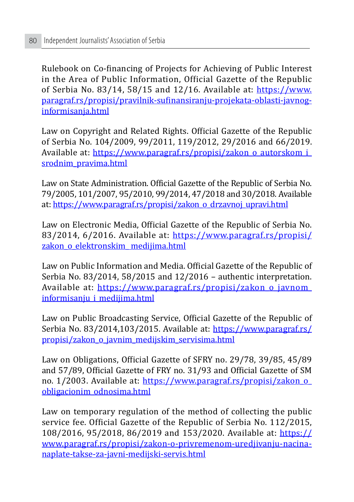Rulebook on Co-financing of Projects for Achieving of Public Interest in the Area of Public Information, Official Gazette of the Republic of Serbia No. 83/14, 58/15 and 12/16. Available at: https://www. paragraf.rs/propisi/pravilnik-sufinansiranju-projekata-oblasti-javnoginformisanja.html

Law on Copyright and Related Rights. Official Gazette of the Republic of Serbia No. 104/2009, 99/2011, 119/2012, 29/2016 and 66/2019. Available at: https://www.paragraf.rs/propisi/zakon\_o\_autorskom\_i\_ srodnim\_pravima.html

Law on State Administration. Official Gazette of the Republic of Serbia No. 79/2005, 101/2007, 95/2010, 99/2014, 47/2018 and 30/2018. Available at: https://www.paragraf.rs/propisi/zakon\_o\_drzavnoj\_upravi.html

Law on Electronic Media, Official Gazette of the Republic of Serbia No. 83/2014, 6/2016. Available at: https://www.paragraf.rs/propisi/ zakon o elektronskim medijima.html

Law on Public Information and Media. Official Gazette of the Republic of Serbia No. 83/2014, 58/2015 and 12/2016 – authentic interpretation. Available at: https://www.paragraf.rs/propisi/zakon\_o\_javnom\_ informisanju\_i\_medijima.html

Law on Public Broadcasting Service, Official Gazette of the Republic of Serbia No. 83/2014,103/2015. Available at: https://www.paragraf.rs/ propisi/zakon\_o\_javnim\_medijskim\_servisima.html

Law on Obligations, Official Gazette of SFRY no. 29/78, 39/85, 45/89 and 57/89, Official Gazette of FRY no. 31/93 and Official Gazette of SM no. 1/2003. Available at: https://www.paragraf.rs/propisi/zakon\_o\_ obligacionim\_odnosima.html

Law on temporary regulation of the method of collecting the public service fee. Official Gazette of the Republic of Serbia No. 112/2015, 108/2016, 95/2018, 86/2019 and 153/2020. Available at: https:// www.paragraf.rs/propisi/zakon-o-privremenom-uredjivanju-nacinanaplate-takse-za-javni-medijski-servis.html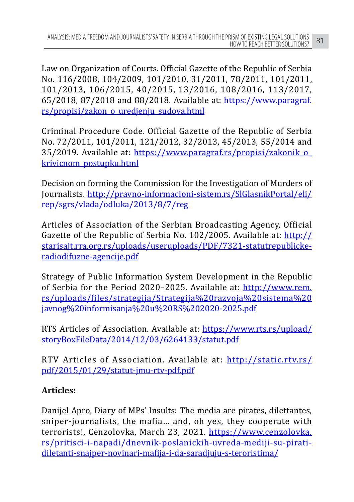Law on Organization of Courts. Official Gazette of the Republic of Serbia No. 116/2008, 104/2009, 101/2010, 31/2011, 78/2011, 101/2011, 101/2013, 106/2015, 40/2015, 13/2016, 108/2016, 113/2017, 65/2018, 87/2018 and 88/2018. Available at: https://www.paragraf. rs/propisi/zakon\_o\_uredjenju\_sudova.html

Criminal Procedure Code. Official Gazette of the Republic of Serbia No. 72/2011, 101/2011, 121/2012, 32/2013, 45/2013, 55/2014 and 35/2019. Available at: https://www.paragraf.rs/propisi/zakonik\_o\_ krivicnom\_postupku.html

Decision on forming the Commission for the Investigation of Murders of Journalists. http://pravno-informacioni-sistem.rs/SlGlasnikPortal/eli/ rep/sgrs/vlada/odluka/2013/8/7/reg

Articles of Association of the Serbian Broadcasting Agency, Official Gazette of the Republic of Serbia No. 102/2005. Available at: http:// starisajt.rra.org.rs/uploads/useruploads/PDF/7321-statutrepublickeradiodifuzne-agencije.pdf

Strategy of Public Information System Development in the Republic of Serbia for the Period 2020–2025. Available at: http://www.rem. rs/uploads/files/strategija/Strategija%20razvoja%20sistema%20 javnog%20informisanja%20u%20RS%202020-2025.pdf

RTS Articles of Association. Available at: https://www.rts.rs/upload/ storyBoxFileData/2014/12/03/6264133/statut.pdf

RTV Articles of Association. Available at: http://static.rtv.rs/ pdf/2015/01/29/statut-jmu-rtv-pdf.pdf

## **Articles:**

Danijel Apro, Diary of MPs' Insults: The media are pirates, dilettantes, sniper-journalists, the mafia… and, oh yes, they cooperate with terrorists!, Cenzolovka, March 23, 2021. https://www.cenzolovka. rs/pritisci-i-napadi/dnevnik-poslanickih-uvreda-mediji-su-piratidiletanti-snajper-novinari-mafija-i-da-saradjuju-s-teroristima/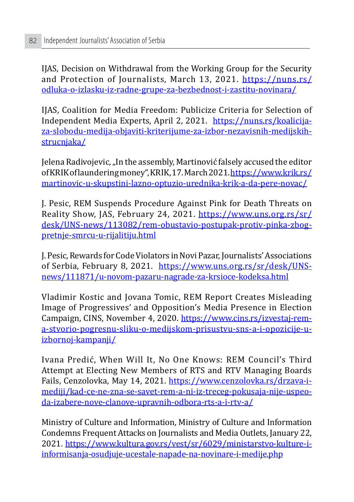IJAS, Decision on Withdrawal from the Working Group for the Security and Protection of Journalists, March 13, 2021. https://nuns.rs/ odluka-o-izlasku-iz-radne-grupe-za-bezbednost-i-zastitu-novinara/

IJAS, Coalition for Media Freedom: Publicize Criteria for Selection of Independent Media Experts, April 2, 2021. https://nuns.rs/koalicijaza-slobodu-medija-objaviti-kriterijume-za-izbor-nezavisnih-medijskihstrucnjaka/

Jelena Radivojevic, "In the assembly, Martinović falsely accused the editor of KRIK of laundering money", KRIK, 17. March 2021. https://www.krik.rs/ martinovic-u-skupstini-lazno-optuzio-urednika-krik-a-da-pere-novac/

J. Pesic, REM Suspends Procedure Against Pink for Death Threats on Reality Show, JAS, February 24, 2021. https://www.uns.org.rs/sr/ desk/UNS-news/113082/rem-obustavio-postupak-protiv-pinka-zbogpretnje-smrcu-u-rijalitiju.html

J. Pesic, Rewards for Code Violators in Novi Pazar, Journalists' Associations of Serbia, February 8, 2021. https://www.uns.org.rs/sr/desk/UNSnews/111871/u-novom-pazaru-nagrade-za-krsioce-kodeksa.html

Vladimir Kostic and Jovana Tomic, REM Report Creates Misleading Image of Progressives' and Opposition's Media Presence in Election Campaign, CINS, November 4, 2020. https://www.cins.rs/izvestaj-rema-stvorio-pogresnu-sliku-o-medijskom-prisustvu-sns-a-i-opozicije-uizbornoj-kampanji/

Ivana Predić, When Will It, No One Knows: REM Council's Third Attempt at Electing New Members of RTS and RTV Managing Boards Fails, Cenzolovka, May 14, 2021. https://www.cenzolovka.rs/drzava-imediji/kad-ce-ne-zna-se-savet-rem-a-ni-iz-treceg-pokusaja-nije-uspeoda-izabere-nove-clanove-upravnih-odbora-rts-a-i-rtv-a/

Ministry of Culture and Information, Ministry of Culture and Information Condemns Frequent Attacks on Journalists and Media Outlets, January 22, 2021. https://www.kultura.gov.rs/vest/sr/6029/ministarstvo-kulture-iinformisanja-osudjuje-ucestale-napade-na-novinare-i-medije.php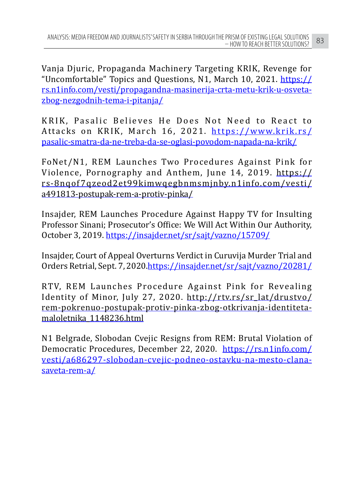Vanja Djuric, Propaganda Machinery Targeting KRIK, Revenge for "Uncomfortable" Topics and Questions, N1, March 10, 2021. https:// rs.n1info.com/vesti/propagandna-masinerija-crta-metu-krik-u-osvetazbog-nezgodnih-tema-i-pitanja/

KRIK, Pasalic Believes He Does Not Need to React to Attacks on KRIK, March 16, 2021. https://www.krik.rs/ pasalic-smatra-da-ne-treba-da-se-oglasi-povodom-napada-na-krik/

FoNet/N1, REM Launches Two Procedures Against Pink for Violence, Pornography and Anthem, June 14, 2019. https:// rs-8nqof 7qzeod2et99kimwqegbnmsmjnby.n1info.com/vesti/ a491813-postupak-rem-a-protiv-pinka/

Insajder, REM Launches Procedure Against Happy TV for Insulting Professor Sinani; Prosecutor's Office: We Will Act Within Our Authority, October 3, 2019. https://insajder.net/sr/sajt/vazno/15709/

Insajder, Court of Appeal Overturns Verdict in Curuvija Murder Trial and Orders Retrial, Sept. 7, 2020.https://insajder.net/sr/sajt/vazno/20281/

RTV, REM Launches Procedure Against Pink for Revealing Identity of Minor, July 27, 2020. http://rtv.rs/sr\_lat/drustvo/ rem-pokrenuo-postupak-protiv-pinka-zbog-otkrivanja-identitetamaloletnika\_1148236.html

N1 Belgrade, Slobodan Cvejic Resigns from REM: Brutal Violation of Democratic Procedures, December 22, 2020. https://rs.n1info.com/ vesti/a686297-slobodan-cvejic-podneo-ostavku-na-mesto-clanasaveta-rem-a/